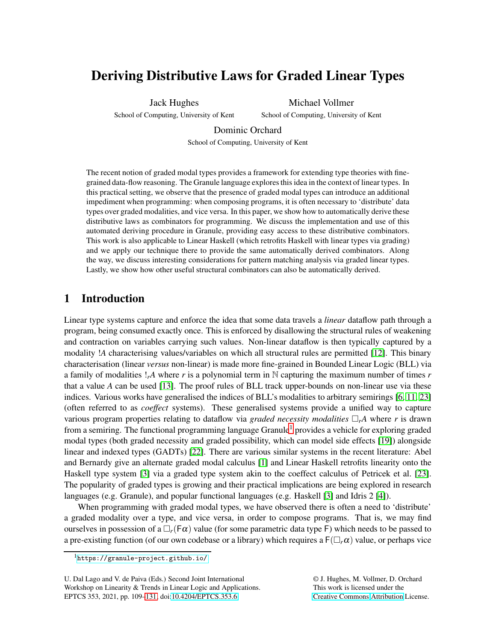# Deriving Distributive Laws for Graded Linear Types

Jack Hughes

School of Computing, University of Kent

Michael Vollmer School of Computing, University of Kent

Dominic Orchard

School of Computing, University of Kent

The recent notion of graded modal types provides a framework for extending type theories with finegrained data-flow reasoning. The Granule language exploresthis idea in the context of linear types. In this practical setting, we observe that the presence of graded modal types can introduce an additional impediment when programming: when composing programs, it is often necessary to 'distribute' data types over graded modalities, and vice versa. In this paper, we show how to automatically derive these distributive laws as combinators for programming. We discuss the implementation and use of this automated deriving procedure in Granule, providing easy access to these distributive combinators. This work is also applicable to Linear Haskell (which retrofits Haskell with linear types via grading) and we apply our technique there to provide the same automatically derived combinators. Along the way, we discuss interesting considerations for pattern matching analysis via graded linear types. Lastly, we show how other useful structural combinators can also be automatically derived.

# <span id="page-0-1"></span>1 Introduction

Linear type systems capture and enforce the idea that some data travels a *linear* dataflow path through a program, being consumed exactly once. This is enforced by disallowing the structural rules of weakening and contraction on variables carrying such values. Non-linear dataflow is then typically captured by a modality !*A* characterising values/variables on which all structural rules are permitted [\[12\]](#page-21-0). This binary characterisation (linear *versus* non-linear) is made more fine-grained in Bounded Linear Logic (BLL) via a family of modalities !*rA* where *r* is a polynomial term in N capturing the maximum number of times *r* that a value *A* can be used [\[13\]](#page-21-1). The proof rules of BLL track upper-bounds on non-linear use via these indices. Various works have generalised the indices of BLL's modalities to arbitrary semirings [\[6,](#page-20-0) [11,](#page-21-2) [23\]](#page-21-3) (often referred to as *coeffect* systems). These generalised systems provide a unified way to capture various program properties relating to dataflow via *graded necessity modalities*  $\Box_r A$  where *r* is drawn from a semiring. The functional programming language Granule<sup>[1](#page-0-0)</sup> provides a vehicle for exploring graded modal types (both graded necessity and graded possibility, which can model side effects [19]) alongside linear and indexed types (GADTs) [22]. There are various similar systems in the recent literature: Abel and Bernardy give an alternate graded modal calculus [\[1\]](#page-20-1) and Linear Haskell retrofits linearity onto the Haskell type system [\[3\]](#page-20-2) via a graded type system akin to the coeffect calculus of Petricek et al. [\[23\]](#page-21-3). The popularity of graded types is growing and their practical implications are being explored in research languages (e.g. Granule), and popular functional languages (e.g. Haskell [\[3\]](#page-20-2) and Idris 2 [\[4\]](#page-20-3)).

When programming with graded modal types, we have observed there is often a need to 'distribute' a graded modality over a type, and vice versa, in order to compose programs. That is, we may find ourselves in possession of a  $\Box_r(F\alpha)$  value (for some parametric data type F) which needs to be passed to a pre-existing function (of our own codebase or a library) which requires a  $F(\Box_r \alpha)$  value, or perhaps vice

U. Dal Lago and V. de Paiva (Eds.) Second Joint International Workshop on Linearity & Trends in Linear Logic and Applications. EPTCS 353, 2021, pp. 109[–131,](#page-22-0) doi[:10.4204/EPTCS.353.6](http://dx.doi.org/10.4204/EPTCS.353.6)

© J. Hughes, M. Vollmer, D. Orchard This work is licensed under the [Creative Commons](https://creativecommons.org) [Attribution](https://creativecommons.org/licenses/by/4.0/) License.

<span id="page-0-0"></span><sup>1</sup><https://granule-project.github.io/>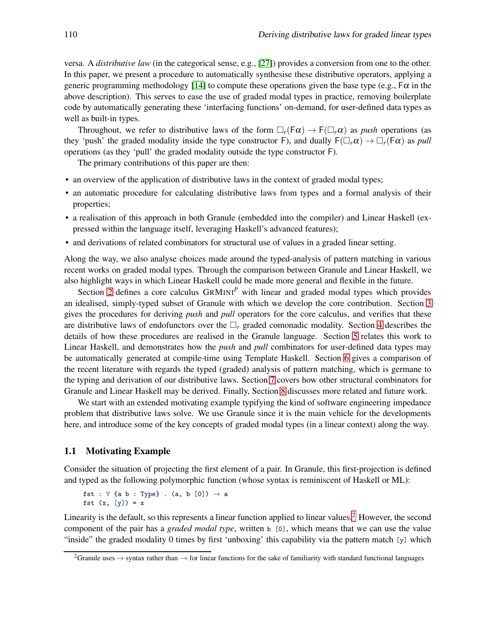versa. A *distributive law* (in the categorical sense, e.g., [\[27\]](#page-22-1)) provides a conversion from one to the other. In this paper, we present a procedure to automatically synthesise these distributive operators, applying a generic programming methodology [\[14\]](#page-21-4) to compute these operations given the base type (e.g.,  $F\alpha$  in the above description). This serves to ease the use of graded modal types in practice, removing boilerplate code by automatically generating these 'interfacing functions' on-demand, for user-defined data types as well as built-in types.

Throughout, we refer to distributive laws of the form  $\Box_r(F\alpha) \to F(\Box_r \alpha)$  as *push* operations (as they 'push' the graded modality inside the type constructor F), and dually  $F(\Box_r \alpha) \to \Box_r(F\alpha)$  as *pull* operations (as they 'pull' the graded modality outside the type constructor F).

The primary contributions of this paper are then:

- an overview of the application of distributive laws in the context of graded modal types;
- an automatic procedure for calculating distributive laws from types and a formal analysis of their properties;
- a realisation of this approach in both Granule (embedded into the compiler) and Linear Haskell (expressed within the language itself, leveraging Haskell's advanced features);
- and derivations of related combinators for structural use of values in a graded linear setting.

Along the way, we also analyse choices made around the typed-analysis of pattern matching in various recent works on graded modal types. Through the comparison between Granule and Linear Haskell, we also highlight ways in which Linear Haskell could be made more general and flexible in the future.

Section [2](#page-3-0) defines a core calculus GRMINI*<sup>P</sup>* with linear and graded modal types which provides an idealised, simply-typed subset of Granule with which we develop the core contribution. Section [3](#page-7-0) gives the procedures for deriving *push* and *pull* operators for the core calculus, and verifies that these are distributive laws of endofunctors over the  $\Box_r$  graded comonadic modality. Section [4](#page-11-0) describes the details of how these procedures are realised in the Granule language. Section [5](#page-13-0) relates this work to Linear Haskell, and demonstrates how the *push* and *pull* combinators for user-defined data types may be automatically generated at compile-time using Template Haskell. Section [6](#page-15-0) gives a comparison of the recent literature with regards the typed (graded) analysis of pattern matching, which is germane to the typing and derivation of our distributive laws. Section [7](#page-17-0) covers how other structural combinators for Granule and Linear Haskell may be derived. Finally, Section [8](#page-19-0) discusses more related and future work.

We start with an extended motivating example typifying the kind of software engineering impedance problem that distributive laws solve. We use Granule since it is the main vehicle for the developments here, and introduce some of the key concepts of graded modal types (in a linear context) along the way.

#### <span id="page-1-1"></span>1.1 Motivating Example

Consider the situation of projecting the first element of a pair. In Granule, this first-projection is defined and typed as the following polymorphic function (whose syntax is reminiscent of Haskell or ML):

fst :  $\forall$  {a b : Type} . (a, b  $[0]$ )  $\rightarrow$  a fst  $(x, [y]) = x$ 

Linearity is the default, so this represents a linear function applied to linear values.<sup>[2](#page-1-0)</sup> However, the second component of the pair has a *graded modal type*, written b [0], which means that we can use the value "inside" the graded modality 0 times by first 'unboxing' this capability via the pattern match [y] which

<span id="page-1-0"></span><sup>&</sup>lt;sup>2</sup>Granule uses → syntax rather than  $\sim$  for linear functions for the sake of familiarity with standard functional languages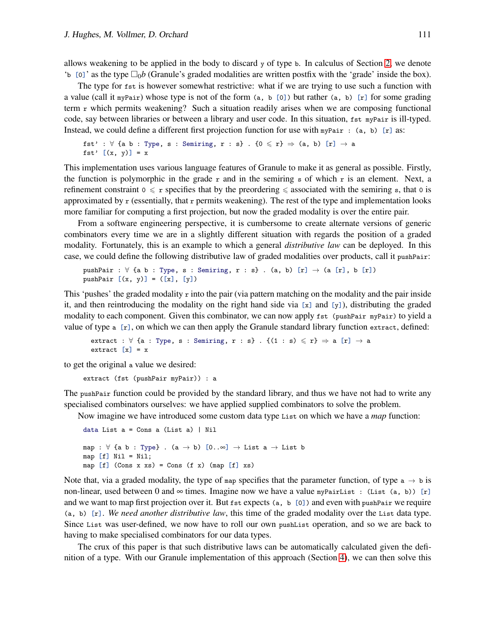allows weakening to be applied in the body to discard  $\gamma$  of type b. In calculus of Section [2,](#page-3-0) we denote 'b  $\lbrack 0 \rbrack$ ' as the type  $\Box_0 b$  (Granule's graded modalities are written postfix with the 'grade' inside the box).

The type for fst is however somewhat restrictive: what if we are trying to use such a function with a value (call it myPair) whose type is not of the form  $(a, b [0])$  but rather  $(a, b)$  [r] for some grading term r which permits weakening? Such a situation readily arises when we are composing functional code, say between libraries or between a library and user code. In this situation, fst myPair is ill-typed. Instead, we could define a different first projection function for use with  $mpPair : (a, b)$  [r] as:

```
fst' : \forall {a b : Type, s : Semiring, r : s} . {0 \leq r} \Rightarrow (a, b) [r] \rightarrow a
fst' [(x, y)] = x
```
This implementation uses various language features of Granule to make it as general as possible. Firstly, the function is polymorphic in the grade r and in the semiring s of which r is an element. Next, a refinement constraint  $0 \leq r$  specifies that by the preordering  $\leq$  associated with the semiring s, that 0 is approximated by  $r$  (essentially, that  $r$  permits weakening). The rest of the type and implementation looks more familiar for computing a first projection, but now the graded modality is over the entire pair.

From a software engineering perspective, it is cumbersome to create alternate versions of generic combinators every time we are in a slightly different situation with regards the position of a graded modality. Fortunately, this is an example to which a general *distributive law* can be deployed. In this case, we could define the following distributive law of graded modalities over products, call it pushPair:

```
pushPair : \forall {a b : Type, s : Semiring, r : s} . (a, b) [r] \rightarrow (a [r], b [r])
pushPair [(x, y)] = ([x], [y])
```
This 'pushes' the graded modality  $r$  into the pair (via pattern matching on the modality and the pair inside it, and then reintroducing the modality on the right hand side via  $[x]$  and  $[y]$ ), distributing the graded modality to each component. Given this combinator, we can now apply fst (pushPair myPair) to yield a value of type  $a$  [ $r$ ], on which we can then apply the Granule standard library function extract, defined:

extract :  $\forall$  {a : Type, s : Semiring, r : s} . { $(1 : s) \leq r$ }  $\Rightarrow$  a [r]  $\rightarrow$  a extract  $[x] = x$ 

to get the original a value we desired:

```
extract (fst (pushPair myPair)) : a
```
The pushPair function could be provided by the standard library, and thus we have not had to write any specialised combinators ourselves: we have applied supplied combinators to solve the problem.

Now imagine we have introduced some custom data type List on which we have a *map* function:

```
data List a = Cons a (List a) | Nil
map : \forall {a b : Type} . (a \rightarrow b) [0..\infty] \rightarrow List a \rightarrow List b
map [f] Nil = Nil;
map [f] (Cons x xs) = Cons (f x) (map [f] xs)
```
Note that, via a graded modality, the type of map specifies that the parameter function, of type  $a \rightarrow b$  is non-linear, used between 0 and  $\infty$  times. Imagine now we have a value myPairList : (List (a, b)) [r] and we want to map first projection over it. But fst expects (a, b [0]) and even with pushPair we require (a, b) [r]. *We need another distributive law*, this time of the graded modality over the List data type. Since List was user-defined, we now have to roll our own pushList operation, and so we are back to having to make specialised combinators for our data types.

The crux of this paper is that such distributive laws can be automatically calculated given the definition of a type. With our Granule implementation of this approach (Section [4\)](#page-11-0), we can then solve this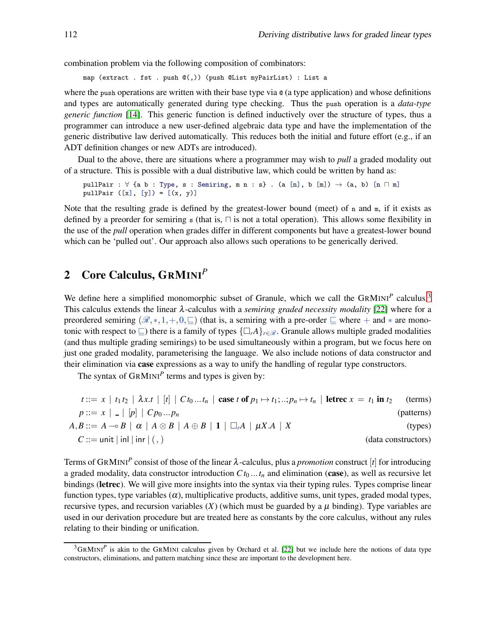combination problem via the following composition of combinators:

map (extract . fst . push @(,)) (push @List myPairList) : List a

where the push operations are written with their base type via  $\mathfrak{g}$  (a type application) and whose definitions and types are automatically generated during type checking. Thus the push operation is a *data-type generic function* [\[14\]](#page-21-4). This generic function is defined inductively over the structure of types, thus a programmer can introduce a new user-defined algebraic data type and have the implementation of the generic distributive law derived automatically. This reduces both the initial and future effort (e.g., if an ADT definition changes or new ADTs are introduced).

Dual to the above, there are situations where a programmer may wish to *pull* a graded modality out of a structure. This is possible with a dual distributive law, which could be written by hand as:

pullPair :  $\forall$  {a b : Type, s : Semiring, m n : s} . (a [n], b [m])  $\rightarrow$  (a, b) [n  $\sqcap$  m] pullPair  $([x], [y]) = [(x, y)]$ 

Note that the resulting grade is defined by the greatest-lower bound (meet) of  $n$  and  $m$ , if it exists as defined by a preorder for semiring s (that is, ⊓ is not a total operation). This allows some flexibility in the use of the *pull* operation when grades differ in different components but have a greatest-lower bound which can be 'pulled out'. Our approach also allows such operations to be generically derived.

# <span id="page-3-0"></span>2 Core Calculus, GRMINI*<sup>P</sup>*

We define here a simplified monomorphic subset of Granule, which we call the GRMINI<sup>P</sup> calculus.<sup>[3](#page-3-1)</sup> This calculus extends the linear λ-calculus with a *semiring graded necessity modality* [22] where for a preordered semiring  $(\mathscr{R},*,1,+,0,\sqsubseteq)$  (that is, a semiring with a pre-order  $\sqsubseteq$  where + and  $*$  are monotonic with respect to  $\subseteq$ ) there is a family of types  $\{\Box_r A\}_{r \in \mathcal{R}}$ . Granule allows multiple graded modalities (and thus multiple grading semirings) to be used simultaneously within a program, but we focus here on just one graded modality, parameterising the language. We also include notions of data constructor and their elimination via **case** expressions as a way to unify the handling of regular type constructors.

The syntax of  $\text{GRMINI}^P$  terms and types is given by:

| (terms)    | $t ::= x \mid t_1 t_2 \mid \lambda x.t \mid [t] \mid C t_0  t_n \mid \text{case } t \text{ of } p_1 \mapsto t_1;;p_n \mapsto t_n \mid \text{letrec } x = t_1 \text{ in } t_2$ |                                                     |
|------------|-------------------------------------------------------------------------------------------------------------------------------------------------------------------------------|-----------------------------------------------------|
| (patterns) |                                                                                                                                                                               | $p ::= x \mid - \mid p \mid C p_0  p_n$             |
| (types)    | $A, B ::= A \rightarrow B \mid \alpha \mid A \otimes B \mid A \oplus B \mid 1 \mid \Box_r A \mid \mu X.A \mid X$                                                              |                                                     |
|            | (data constructors)                                                                                                                                                           | $C ::= \text{unit}   \text{inl}   \text{inr}   (,)$ |

Terms of GRMINI*<sup>P</sup>* consist of those of the linear λ-calculus, plus a *promotion* construct [*t*] for introducing a graded modality, data constructor introduction  $Ct_0 \ldots t_n$  and elimination (case), as well as recursive let bindings (letrec). We will give more insights into the syntax via their typing rules. Types comprise linear function types, type variables  $(\alpha)$ , multiplicative products, additive sums, unit types, graded modal types, recursive types, and recursion variables  $(X)$  (which must be guarded by a  $\mu$  binding). Type variables are used in our derivation procedure but are treated here as constants by the core calculus, without any rules relating to their binding or unification.

<span id="page-3-1"></span> $3$ GRMINI<sup>P</sup> is akin to the GRMINI calculus given by Orchard et al. [22] but we include here the notions of data type constructors, eliminations, and pattern matching since these are important to the development here.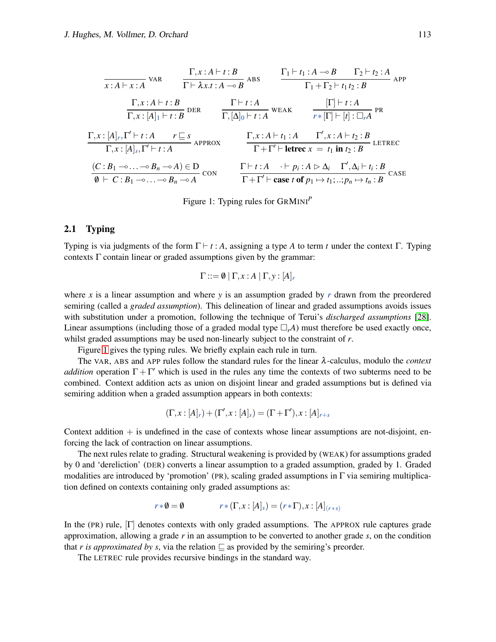<span id="page-4-0"></span>
$$
\frac{\Gamma, x:A \vdash t:B}{x:A \vdash x:A} \text{ VAR} \qquad \frac{\Gamma, x:A \vdash t:B}{\Gamma \vdash \lambda x.t:A \multimap B} \text{ABS} \qquad \frac{\Gamma_1 \vdash t_1:A \multimap B \quad \Gamma_2 \vdash t_2:A}{\Gamma_1+\Gamma_2 \vdash t_1t_2:B} \text{APP}
$$
\n
$$
\frac{\Gamma, x:A \vdash t:B}{\Gamma, x:[A]_1 \vdash t:B} \text{DER} \qquad \frac{\Gamma \vdash t:A}{\Gamma, [\Delta]_0 \vdash t:A} \text{WEAK} \qquad \frac{[\Gamma] \vdash t:A}{r*[1] \vdash [t]: \Box_r A} \text{PR}
$$
\n
$$
\frac{\Gamma, x:[A]_r, \Gamma' \vdash t:A \qquad r \sqsubseteq s}{\Gamma, x:[A]_s, \Gamma' \vdash t:A} \text{APPROX} \qquad \frac{\Gamma, x:A \vdash t_1:A \quad \Gamma', x:A \vdash t_2:B}{\Gamma + \Gamma' \vdash \text{letrec } x=t_1 \text{ in } t_2:B} \text{LETREC}
$$
\n
$$
\frac{(C:B_1 \multimap ... \multimap B_n \multimap A) \in D}{\emptyset \vdash C:B_1 \multimap ... \multimap B_n \multimap A} \text{CON} \qquad \frac{\Gamma \vdash t:A \quad \vdash p_i:A \rhd \Delta_i \quad \Gamma', \Delta_i \vdash t_i:B}{\Gamma + \Gamma' \vdash \text{case } t \text{ of } p_1 \mapsto t_1; \dots; p_n \mapsto t_n:B} \text{CASE}
$$

Figure 1: Typing rules for GRMINI*<sup>P</sup>*

### 2.1 Typing

Typing is via judgments of the form  $\Gamma \vdash t : A$ , assigning a type *A* to term *t* under the context  $\Gamma$ . Typing contexts  $\Gamma$  contain linear or graded assumptions given by the grammar:

$$
\Gamma ::= \emptyset \mid \Gamma, x : A \mid \Gamma, y : [A]_r
$$

where *x* is a linear assumption and where *y* is an assumption graded by *r* drawn from the preordered semiring (called a *graded assumption*). This delineation of linear and graded assumptions avoids issues with substitution under a promotion, following the technique of Terui's *discharged assumptions* [\[28\]](#page-22-2). Linear assumptions (including those of a graded modal type  $\Box_r A$ ) must therefore be used exactly once, whilst graded assumptions may be used non-linearly subject to the constraint of *r*.

Figure [1](#page-4-0) gives the typing rules. We briefly explain each rule in turn.

The VAR, ABS and APP rules follow the standard rules for the linear λ-calculus, modulo the *context addition* operation  $\Gamma + \Gamma'$  which is used in the rules any time the contexts of two subterms need to be combined. Context addition acts as union on disjoint linear and graded assumptions but is defined via semiring addition when a graded assumption appears in both contexts:

$$
(\Gamma, x : [A]_r) + (\Gamma', x : [A]_s) = (\Gamma + \Gamma'), x : [A]_{r+s}
$$

Context addition  $+$  is undefined in the case of contexts whose linear assumptions are not-disjoint, enforcing the lack of contraction on linear assumptions.

The next rules relate to grading. Structural weakening is provided by (WEAK) for assumptions graded by 0 and 'dereliction' (DER) converts a linear assumption to a graded assumption, graded by 1. Graded modalities are introduced by 'promotion' (PR), scaling graded assumptions in  $\Gamma$  via semiring multiplication defined on contexts containing only graded assumptions as:

$$
r * \emptyset = \emptyset \qquad \qquad r * (\Gamma, x : [A]_s) = (r * \Gamma), x : [A]_{(r * s)}
$$

In the (PR) rule, [Γ] denotes contexts with only graded assumptions. The APPROX rule captures grade approximation, allowing a grade *r* in an assumption to be converted to another grade *s*, on the condition that *r is approximated by s*, via the relation  $\subseteq$  as provided by the semiring's preorder.

The LETREC rule provides recursive bindings in the standard way.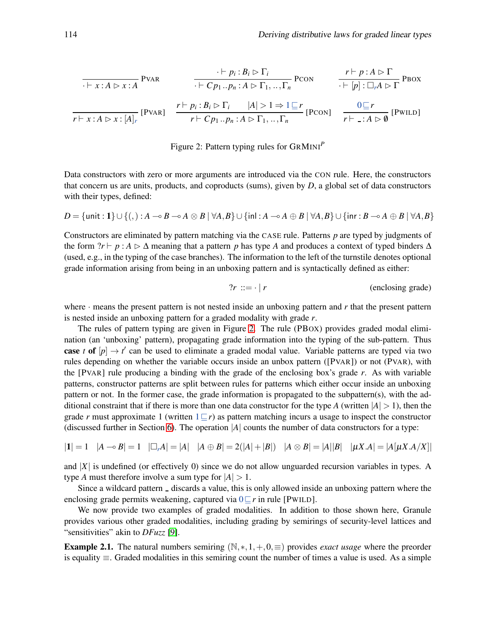<span id="page-5-0"></span>
$$
\frac{\cdot \vdash p_i : B_i \rhd \Gamma_i}{\cdot \vdash x : A \rhd x : A} \text{PVAR} \qquad \frac{\cdot \vdash p_i : B_i \rhd \Gamma_i}{\cdot \vdash Cp_1 .. p_n : A \rhd \Gamma_1, .., \Gamma_n} \text{PCON} \qquad \frac{r \vdash p : A \rhd \Gamma}{\cdot \vdash [p] : \square_r A \rhd \Gamma} \text{PBox}
$$
\n
$$
\frac{r \vdash p_i : B_i \rhd \Gamma_i}{r \vdash x : A \rhd x : [A]_r} \qquad \frac{r \vdash p_i : B_i \rhd \Gamma_i}{r \vdash Cp_1 .. p_n : A \rhd \Gamma_1, .., \Gamma_n} \text{[PCON]} \qquad \frac{0 \sqsubseteq r}{r \vdash \neg : A \rhd \emptyset} \text{[PWILD]}
$$

### Figure 2: Pattern typing rules for GRMINI*<sup>P</sup>*

Data constructors with zero or more arguments are introduced via the CON rule. Here, the constructors that concern us are units, products, and coproducts (sums), given by *D*, a global set of data constructors with their types, defined:

$$
D = \{ \text{unit} : 1 \} \cup \{ (,) : A \multimap B \multimap A \otimes B \mid \forall A, B \} \cup \{ \text{inl} : A \multimap A \oplus B \mid \forall A, B \} \cup \{ \text{inr} : B \multimap A \oplus B \mid \forall A, B \}
$$

Constructors are eliminated by pattern matching via the CASE rule. Patterns *p* are typed by judgments of the form  $?r \vdash p : A \rhd \Delta$  meaning that a pattern *p* has type *A* and produces a context of typed binders  $\Delta$ (used, e.g., in the typing of the case branches). The information to the left of the turnstile denotes optional grade information arising from being in an unboxing pattern and is syntactically defined as either:

$$
?r ::= \cdot | r
$$
 (enclosing grade)

where  $\cdot$  means the present pattern is not nested inside an unboxing pattern and  $r$  that the present pattern is nested inside an unboxing pattern for a graded modality with grade *r*.

The rules of pattern typing are given in Figure [2.](#page-5-0) The rule (PBOX) provides graded modal elimination (an 'unboxing' pattern), propagating grade information into the typing of the sub-pattern. Thus **case** *t* of  $[p] \rightarrow t'$  can be used to eliminate a graded modal value. Variable patterns are typed via two rules depending on whether the variable occurs inside an unbox pattern ([PVAR]) or not (PVAR), with the [PVAR] rule producing a binding with the grade of the enclosing box's grade *r*. As with variable patterns, constructor patterns are split between rules for patterns which either occur inside an unboxing pattern or not. In the former case, the grade information is propagated to the subpattern(s), with the additional constraint that if there is more than one data constructor for the type *A* (written  $|A| > 1$ ), then the grade *r* must approximate 1 (written  $1 \subseteq r$ ) as pattern matching incurs a usage to inspect the constructor (discussed further in Section [6\)](#page-15-0). The operation |*A*| counts the number of data constructors for a type:

$$
|1| = 1 \quad |A \multimap B| = 1 \quad |\Box_r A| = |A| \quad |A \oplus B| = 2(|A| + |B|) \quad |A \otimes B| = |A||B| \quad |\mu X.A| = |A[\mu X.A/X]|
$$

and |*X*| is undefined (or effectively 0) since we do not allow unguarded recursion variables in types. A type *A* must therefore involve a sum type for  $|A| > 1$ .

Since a wildcard pattern  $\overline{\ }$  discards a value, this is only allowed inside an unboxing pattern where the enclosing grade permits weakening, captured via 0⊑*r* in rule [PWILD].

We now provide two examples of graded modalities. In addition to those shown here, Granule provides various other graded modalities, including grading by semirings of security-level lattices and "sensitivities" akin to *DFuzz* [\[9\]](#page-21-5).

**Example 2.1.** The natural numbers semiring  $(\mathbb{N},*,1,+,0,\equiv)$  provides *exact usage* where the preorder is equality ≡. Graded modalities in this semiring count the number of times a value is used. As a simple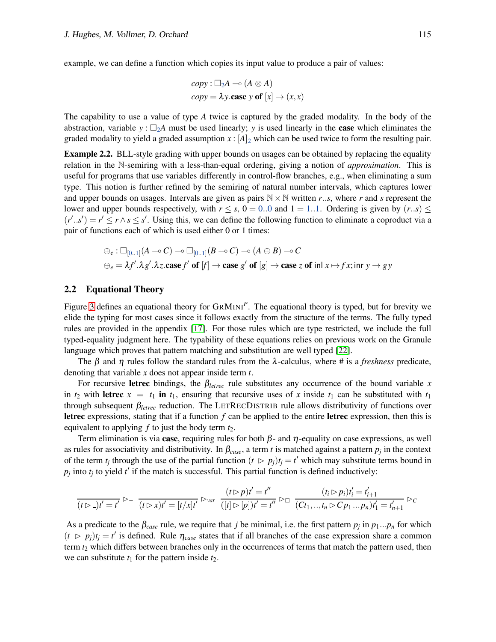example, we can define a function which copies its input value to produce a pair of values:

$$
copy : \Box_2 A \rightarrow (A \otimes A)
$$
  
 $copy = \lambda y$ .case y of  $[x] \rightarrow (x,x)$ 

The capability to use a value of type *A* twice is captured by the graded modality. In the body of the abstraction, variable  $y : \Box_2 A$  must be used linearly; *y* is used linearly in the **case** which eliminates the graded modality to yield a graded assumption  $x : [A]_2$  which can be used twice to form the resulting pair.

**Example 2.2.** BLL-style grading with upper bounds on usages can be obtained by replacing the equality relation in the N-semiring with a less-than-equal ordering, giving a notion of *approximation*. This is useful for programs that use variables differently in control-flow branches, e.g., when eliminating a sum type. This notion is further refined by the semiring of natural number intervals, which captures lower and upper bounds on usages. Intervals are given as pairs  $N \times N$  written *r*..*s*, where *r* and *s* represent the lower and upper bounds respectively, with  $r \leq s$ ,  $0 = 0.0$  and  $1 = 1.1$ . Ordering is given by  $(r..s) \leq$  $(r'..s') = r' \le r \land s \le s'$ . Using this, we can define the following function to eliminate a coproduct via a pair of functions each of which is used either 0 or 1 times:

$$
\oplus_e : \Box_{[0..1]}(A \multimap C) \multimap \Box_{[0..1]}(B \multimap C) \multimap (A \oplus B) \multimap C
$$
  

$$
\oplus_e = \lambda f'.\lambda g'.\lambda z.\textbf{case } f' \textbf{ of } [f] \to \textbf{case } g' \textbf{ of } [g] \to \textbf{case } z \textbf{ of } \textbf{in} \land x \mapsto f x;\textbf{in} \land y \to gy
$$

#### 2.2 Equational Theory

Figure [3](#page-7-1) defines an equational theory for GRMINI*<sup>P</sup>* . The equational theory is typed, but for brevity we elide the typing for most cases since it follows exactly from the structure of the terms. The fully typed rules are provided in the appendix [\[17\]](#page-21-6). For those rules which are type restricted, we include the full typed-equality judgment here. The typability of these equations relies on previous work on the Granule language which proves that pattern matching and substitution are well typed [22].

The  $\beta$  and  $\eta$  rules follow the standard rules from the  $\lambda$ -calculus, where # is a *freshness* predicate, denoting that variable *x* does not appear inside term *t*.

For recursive letrec bindings, the  $\beta_{\text{letrec}}$  rule substitutes any occurrence of the bound variable *x* in  $t_2$  with letrec  $x = t_1$  in  $t_1$ , ensuring that recursive uses of x inside  $t_1$  can be substituted with  $t_1$ through subsequent β*letrec* reduction. The LETRECDISTRIB rule allows distributivity of functions over letrec expressions, stating that if a function *f* can be applied to the entire letrec expression, then this is equivalent to applying *f* to just the body term *t*2.

Term elimination is via **case**, requiring rules for both  $\beta$ - and  $\eta$ -equality on case expressions, as well as rules for associativity and distributivity. In  $\beta_{case}$ , a term *t* is matched against a pattern  $p_j$  in the context of the term  $t_j$  through the use of the partial function  $(t \ge p_j)t_j = t'$  which may substitute terms bound in  $p_j$  into  $t_j$  to yield  $t'$  if the match is successful. This partial function is defined inductively:

$$
\frac{(t \triangleright g)t' = t'}{(t \triangleright g)t' = t'} \triangleright \frac{(t \triangleright g)t' = t''}{(t \triangleright g)t' = [t/x]t'} \triangleright_{var} \frac{(t \triangleright g)t' = t''}{([t] \triangleright [p])t' = t''} \triangleright \Box \frac{(t_i \triangleright p_i)t'_i = t'_{i+1}}{(Ct_1,..,t_n \triangleright Cp_1...p_n)t'_1 = t'_{n+1}} \triangleright c
$$

As a predicate to the  $\beta_{case}$  rule, we require that *j* be minimal, i.e. the first pattern  $p_j$  in  $p_1...p_n$  for which  $(t \ge p_j)t_j = t'$  is defined. Rule  $\eta_{case}$  states that if all branches of the case expression share a common term *t*<sup>2</sup> which differs between branches only in the occurrences of terms that match the pattern used, then we can substitute  $t_1$  for the pattern inside  $t_2$ .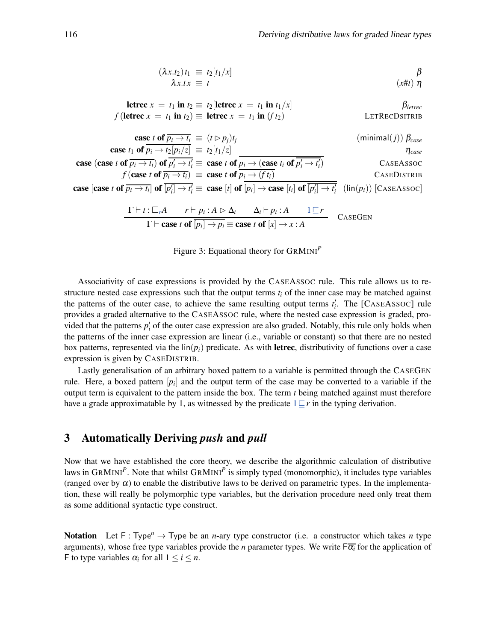$$
(\lambda x.t_2) t_1 \equiv t_2[t_1/x] \qquad \beta
$$
  
\n
$$
\lambda x.t x \equiv t \qquad \qquad (x \# t) \eta
$$

<span id="page-7-1"></span>**letrec** 
$$
x = t_1
$$
 **in**  $t_2 \equiv t_2$  [**letrec**  $x = t_1$  **in**  $t_1/x$ ]  
\n $f$  (**letrec**  $x = t_1$  **in**  $t_2$ )  $\equiv$  **letrec**  $x = t_1$  **in**  $(f t_2)$  **LETRECDSITRIB**

$$
\begin{array}{ll}\n\text{case } t_1 \text{ of } \overline{p_i \rightarrow t_i} \equiv (t \rhd p_j)t_j & \text{(minimal}(j)) } \beta_{case} \\
\text{case } t_1 \text{ of } \overline{p_i \rightarrow t_2} [\overline{p_i}/z] \equiv t_2[t_1/z] & \eta_{case} \\
\text{case } t \text{ of } \overline{p_i \rightarrow t_i} \text{ of } \overline{p'_i \rightarrow t'_i} \equiv \text{case } t \text{ of } \overline{p_i \rightarrow (\text{case } t_i \text{ of } \overline{p'_i \rightarrow t'_i})} & \text{CASEASSOC} \\
& f \text{(case } t \text{ of } \overline{p_i \rightarrow t_i}) \equiv \text{case } t \text{ of } \overline{p_i \rightarrow (ft_i)} & \text{CASEDISTRB} \\
\text{Case } t_1 \text{ of } \overline{p_i \rightarrow t_i} \equiv \text{case } t \text{ of } \overline{p_i \rightarrow (ft_i)} & \text{CASEDISTRB} \\
\text{Case } t_1 \text{ of } \overline{p_i \rightarrow t_i} & \text{Case } t_1 \text{ of } \overline{p_i \rightarrow t'_i} & \text{Case } t_1 \text{ of } \overline{p_i \rightarrow t'_i} \\
\text{Case } t_1 \text{ of } \overline{p_i \rightarrow t_i} \equiv \text{case } t_1 \text{ of } \overline{p_i \rightarrow (ft_i)} & \text{Case } t_1 \text{ of } \overline{p_i \rightarrow t'_i} \\
\text{Case } t_1 \text{ of } \overline{p_i \rightarrow t_i} \equiv \text{case } t_1 \text{ of } \overline{p_i \rightarrow (ft_i)} & \text{Case } t_1 \text{ of } \overline{p_i \rightarrow t'_i} \\
\text{Case } t_1 \text{ of } \overline{p_i \rightarrow t_i} \equiv \text{case } t_1 \text{ of } \overline{p_i \rightarrow (ft_i)} & \text{Case } t_1 \text{ of } \overline{p_i \rightarrow t'_i} \\
\text{Case } t_1 \text{ of } \overline{p_i \rightarrow t_i} \equiv \text{case } t_1 \text{ of } \overline{p_i \rightarrow (ft_i)} & \text{Case } t_1 \text{ of } \overline{p_i \rightarrow t'_i} \\
\text{Case } t_1 \text{ of } \overline{p_i \rightarrow t_i} \
$$

case [case *t* of  $\overline{p_i \to t_i}$ ] of  $\overline{[p'_i] \to t'_i}$  = case [*t*] of  $[p_i] \to$  case [*t<sub>i</sub>*] of  $\overline{[p'_i] \to t'_i}$  (lin(*p<sub>i</sub>*)) [CASEASSOC]

$$
\frac{\Gamma \vdash t : \Box_r A \qquad r \vdash p_i : A \rhd \Delta_i \qquad \Delta_i \vdash p_i : A \qquad 1 \sqsubseteq r}{\Gamma \vdash \textbf{case } t \textbf{ of } [p_i] \rightarrow p_i \equiv \textbf{case } t \textbf{ of } [x] \rightarrow x : A} \qquad \textbf{CASEGEN}
$$

Figure 3: Equational theory for GRMINI*<sup>P</sup>*

Associativity of case expressions is provided by the CASEASSOC rule. This rule allows us to restructure nested case expressions such that the output terms *t<sup>i</sup>* of the inner case may be matched against the patterns of the outer case, to achieve the same resulting output terms  $t_i'$ . The [CASEASSOC] rule provides a graded alternative to the CASEASSOC rule, where the nested case expression is graded, provided that the patterns  $p_i'$  of the outer case expression are also graded. Notably, this rule only holds when the patterns of the inner case expression are linear (i.e., variable or constant) so that there are no nested box patterns, represented via the  $\text{lin}(p_i)$  predicate. As with letrec, distributivity of functions over a case expression is given by CASEDISTRIB.

Lastly generalisation of an arbitrary boxed pattern to a variable is permitted through the CASEGEN rule. Here, a boxed pattern [*p<sup>i</sup>* ] and the output term of the case may be converted to a variable if the output term is equivalent to the pattern inside the box. The term *t* being matched against must therefore have a grade approximatable by 1, as witnessed by the predicate 1⊑*r* in the typing derivation.

# <span id="page-7-0"></span>3 Automatically Deriving *push* and *pull*

Now that we have established the core theory, we describe the algorithmic calculation of distributive laws in GRMINI<sup>P</sup>. Note that whilst GRMINI<sup>P</sup> is simply typed (monomorphic), it includes type variables (ranged over by  $\alpha$ ) to enable the distributive laws to be derived on parametric types. In the implementation, these will really be polymorphic type variables, but the derivation procedure need only treat them as some additional syntactic type construct.

**Notation** Let F: Type<sup>n</sup>  $\rightarrow$  Type be an *n*-ary type constructor (i.e. a constructor which takes *n* type arguments), whose free type variables provide the *n* parameter types. We write  $F\overline{\alpha_i}$  for the application of F to type variables  $\alpha_i$  for all  $1 \le i \le n$ .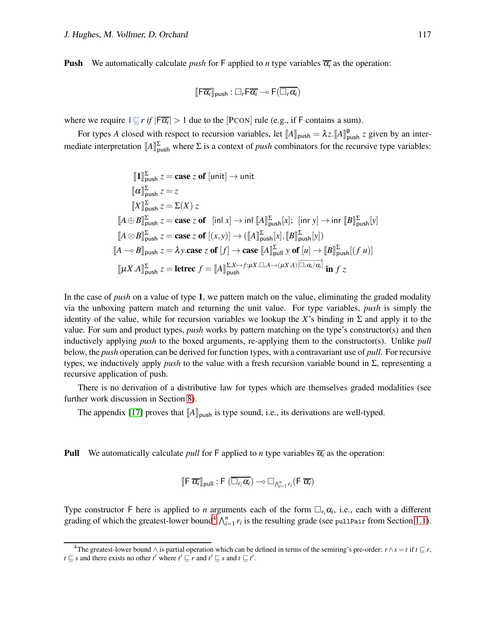**Push** We automatically calculate *push* for F applied to *n* type variables  $\overline{\alpha_i}$  as the operation:

$$
\llbracket \mathsf{F}\overline{\alpha_i} \rrbracket_{\mathsf{push}} : \Box_r \mathsf{F}\overline{\alpha_i} \multimap \mathsf{F}(\overline{\Box_r\alpha_i})
$$

where we require  $1 \sqsubseteq r$  *if*  $|\overline{F\alpha_i}| > 1$  due to the [PCON] rule (e.g., if F contains a sum).

For types *A* closed with respect to recursion variables, let  $[A]_{\text{push}} = \lambda z \cdot [A]_{\text{push}}^{\emptyset}$  *z* given by an intermediate interpretation  $[A]_{\text{push}}^{\Sigma}$  where  $\Sigma$  is a context of *push* combinators for the recursive type variables:

$$
\begin{aligned}\n\llbracket 1 \rrbracket_{\text{push}}^{\Sigma} z &= \text{case } z \text{ of } [\text{unit}] \to \text{unit} \\
\llbracket \alpha \rrbracket_{\text{push}}^{\Sigma} z &= z \\
\llbracket X \rrbracket_{\text{push}}^{\Sigma} z &= \Sigma(X) \ z \\
\llbracket A \oplus B \rrbracket_{\text{push}}^{\Sigma} z &= \text{case } z \text{ of } \left[ \text{inl } x \right] \to \text{inl } \llbracket A \rrbracket_{\text{push}}^{\Sigma} [x]; \quad [\text{inr } y] \to \text{inr } \llbracket B \rrbracket_{\text{push}}^{\Sigma} [y] \\
\llbracket A \otimes B \rrbracket_{\text{push}}^{\Sigma} z &= \text{case } z \text{ of } \llbracket (x, y) \rrbracket \to \left( \llbracket A \rrbracket_{\text{push}}^{\Sigma} [x], \llbracket B \rrbracket_{\text{push}}^{\Sigma} [y] \right) \\
\llbracket A \multimap B \rrbracket_{\text{push}} z &= \lambda y.\text{case } z \text{ of } [f] \to \text{case } \llbracket A \rrbracket_{\text{pull } y \text{ of } [u] \to \llbracket B \rrbracket_{\text{push}}^{\Sigma} [(f u)] \\
\llbracket \mu X.A \rrbracket_{\text{push}}^{\Sigma} z &= \text{letree } f = \llbracket A \rrbracket_{\text{push}}^{\Sigma, X \mapsto f: \mu X.\Box_r A \to (\mu X.A)} \overbracket_{\Box_r \alpha_i/\alpha_i}^{\square} \text{ in } f z\n\end{aligned}
$$

In the case of *push* on a value of type 1, we pattern match on the value, eliminating the graded modality via the unboxing pattern match and returning the unit value. For type variables, *push* is simply the identity of the value, while for recursion variables we lookup the *X*'s binding in  $\Sigma$  and apply it to the value. For sum and product types, *push* works by pattern matching on the type's constructor(s) and then inductively applying *push* to the boxed arguments, re-applying them to the constructor(s). Unlike *pull* below, the *push* operation can be derived for function types, with a contravariant use of *pull*. For recursive types, we inductively apply *push* to the value with a fresh recursion variable bound in Σ, representing a recursive application of push.

There is no derivation of a distributive law for types which are themselves graded modalities (see further work discussion in Section [8\)](#page-19-0).

The appendix [\[17\]](#page-21-6) proves that  $[A]_{\text{push}}$  is type sound, i.e., its derivations are well-typed.

**Pull** We automatically calculate *pull* for F applied to *n* type variables  $\overline{\alpha_i}$  as the operation:

$$
\llbracket \mathsf{F} \ \overline{\alpha_i} \rrbracket_{\mathsf{pull}} : \mathsf{F} \ (\overline{\Box_{r_i} \alpha_i}) \multimap \Box_{\bigwedge_{i=1}^n r_i} (\mathsf{F} \ \overline{\alpha_i})
$$

Type constructor F here is applied to *n* arguments each of the form  $\Box_{r_i} \alpha_i$ , i.e., each with a different grading of which the greatest-lower bound<sup>[4](#page-8-0)</sup>  $\bigwedge_{i=1}^{n} r_i$  is the resulting grade (see pullPair from Section [1.1\)](#page-1-1).

<span id="page-8-0"></span><sup>&</sup>lt;sup>4</sup>The greatest-lower bound  $\wedge$  is partial operation which can be defined in terms of the semiring's pre-order:  $r \wedge s = t$  if  $t \sqsubseteq r$ , *t*  $\sqsubseteq$  *s* and there exists no other *t'* where *t'*  $\sqsubseteq$  *r* and *t'*  $\sqsubseteq$  *s* and *t*  $\sqsubseteq$  *t'*.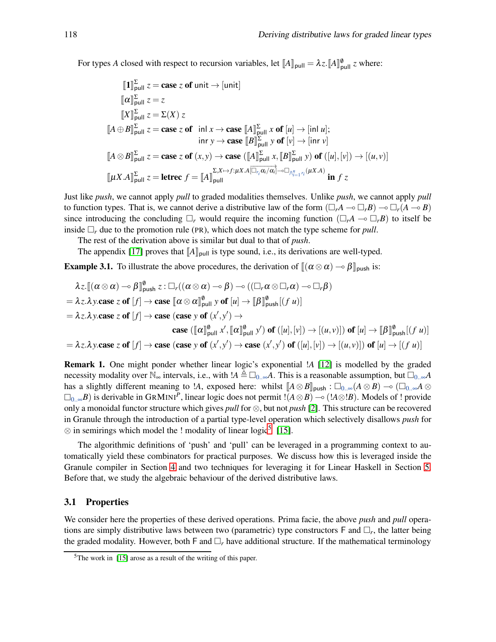For types *A* closed with respect to recursion variables, let  $[A]_{\text{pull}} = \lambda z \cdot [A]_{\text{pull}}^{\emptyset} z$  where:

$$
\llbracket 1 \rrbracket_{\text{pull}}^{\Sigma} z = \text{case } z \text{ of unit} \rightarrow \llbracket \text{unit} \rrbracket
$$
\n
$$
\llbracket \alpha \rrbracket_{\text{pull}}^{\Sigma} z = z
$$
\n
$$
\llbracket X \rrbracket_{\text{pull}}^{\Sigma} z = \Sigma(X) z
$$
\n
$$
\llbracket A \oplus B \rrbracket_{\text{pull}}^{\Sigma} z = \text{case } z \text{ of } \text{ in } x \rightarrow \text{case } \llbracket A \rrbracket_{\text{ pull}}^{\Sigma} x \text{ of } [u] \rightarrow \llbracket \text{in } u \rrbracket;
$$
\n
$$
\text{in } y \rightarrow \text{case } \llbracket B \rrbracket_{\text{ pull}}^{\Sigma} y \text{ of } [v] \rightarrow \llbracket \text{in } v \rrbracket
$$
\n
$$
\llbracket A \otimes B \rrbracket_{\text{ pull}}^{\Sigma} z = \text{case } z \text{ of } (x, y) \rightarrow \text{case } (\llbracket A \rrbracket_{\text{ pull}}^{\Sigma} x, \llbracket B \rrbracket_{\text{ pull}}^{\Sigma} y) \text{ of } ([u], [v]) \rightarrow [(u, v)]
$$
\n
$$
\llbracket \mu X. A \rrbracket_{\text{ pull}}^{\Sigma} z = \text{letrec } f = \llbracket A \rrbracket_{\text{ pull}}^{\Sigma, x \mapsto f : \mu X. A \llbracket \overline{\Box_{r_i} \alpha_i / \alpha_i} \rrbracket_{\neg \Box \wedge_{i=1}^{n} r_i} (\mu X. A) \text{ in } f z
$$

Just like *push*, we cannot apply *pull* to graded modalities themselves. Unlike *push*, we cannot apply *pull* to function types. That is, we cannot derive a distributive law of the form  $(\Box_r A \to \Box_r B) \to \Box_r (A \to B)$ since introducing the concluding  $\Box_r$  would require the incoming function  $(\Box_r A \to \Box_r B)$  to itself be inside  $\Box_r$  due to the promotion rule (PR), which does not match the type scheme for *pull*.

The rest of the derivation above is similar but dual to that of *push*.

The appendix [\[17\]](#page-21-6) proves that  $\llbracket A \rrbracket_{\text{pull}}$  is type sound, i.e., its derivations are well-typed.

**Example 3.1.** To illustrate the above procedures, the derivation of  $\|(\alpha \otimes \alpha) - \beta\|_{\text{push}}$  is:

$$
\lambda z. \llbracket (\alpha \otimes \alpha) \multimap \beta \rrbracket_{\text{push}}^{\theta} z : \Box_r((\alpha \otimes \alpha) \multimap \beta) \multimap ((\Box_r \alpha \otimes \Box_r \alpha) \multimap \Box_r \beta)
$$
\n
$$
= \lambda z. \lambda y. \text{case } z \text{ of } [f] \to \text{case } [\alpha \otimes \alpha]_{\text{pull}}^{\theta} y \text{ of } [u] \to [\beta]_{\text{push}}^{\theta} [(f u)]
$$
\n
$$
= \lambda z. \lambda y. \text{case } z \text{ of } [f] \to \text{case } (\text{case } y \text{ of } (x', y') \to
$$
\n
$$
\text{case } ([\alpha]_{\text{pull}}^{\theta} x', [\alpha]_{\text{pull}}^{\theta} y') \text{ of } ([u], [v]) \to [(u, v)]) \text{ of } [u] \to [\beta]_{\text{push}}^{\theta} [(f u)]
$$
\n
$$
= \lambda z. \lambda y. \text{case } z \text{ of } [f] \to \text{case } (\text{case } y \text{ of } (x', y') \to \text{case } (x', y') \text{ of } ([u], [v]) \to [(u, v)]) \text{ of } [u] \to [(f u)]
$$

Remark 1. One might ponder whether linear logic's exponential !*A* [\[12\]](#page-21-0) is modelled by the graded necessity modality over  $\mathbb{N}_{\infty}$  intervals, i.e., with  $!A \triangleq \Box_{0,\infty}A$ . This is a reasonable assumption, but  $\Box_{0,\infty}A$ has a slightly different meaning to *!A*, exposed here: whilst  $\llbracket A \otimes B \rrbracket_{\text{push}} : \Box_{0..\infty}(A \otimes B) \multimap (\Box_{0..\infty}A \otimes$ 0..∞*B*) is derivable in GRMINI*<sup>P</sup>* , linear logic does not permit !(*A*⊗*B*) ⊸ (!*A*⊗!*B*). Models of ! provide only a monoidal functor structure which gives *pull* for ⊗, but not *push* [\[2\]](#page-20-4). This structure can be recovered in Granule through the introduction of a partial type-level operation which selectively disallows *push* for  $\otimes$  in semirings which model the ! modality of linear logic<sup>[5](#page-9-0)</sup> [\[15\]](#page-21-7).

The algorithmic definitions of 'push' and 'pull' can be leveraged in a programming context to automatically yield these combinators for practical purposes. We discuss how this is leveraged inside the Granule compiler in Section [4](#page-11-0) and two techniques for leveraging it for Linear Haskell in Section [5.](#page-13-0) Before that, we study the algebraic behaviour of the derived distributive laws.

#### <span id="page-9-1"></span>3.1 Properties

We consider here the properties of these derived operations. Prima facie, the above *push* and *pull* operations are simply distributive laws between two (parametric) type constructors  $F$  and  $\Box_r$ , the latter being the graded modality. However, both F and  $\Box_r$  have additional structure. If the mathematical terminology

<span id="page-9-0"></span><sup>5</sup>The work in [\[15\]](#page-21-7) arose as a result of the writing of this paper.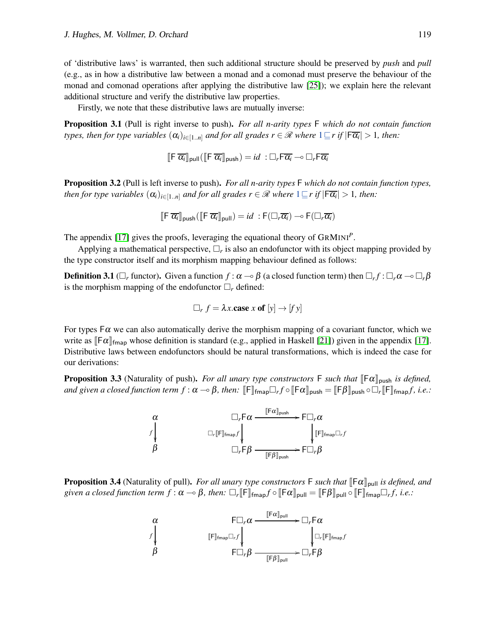of 'distributive laws' is warranted, then such additional structure should be preserved by *push* and *pull* (e.g., as in how a distributive law between a monad and a comonad must preserve the behaviour of the monad and comonad operations after applying the distributive law [\[25\]](#page-22-3)); we explain here the relevant additional structure and verify the distributive law properties.

Firstly, we note that these distributive laws are mutually inverse:

Proposition 3.1 (Pull is right inverse to push). *For all n-arity types* F *which do not contain function types, then for type variables*  $(\alpha_i)_{i \in [1..n]}$  *and for all grades*  $r \in \mathscr{R}$  *where*  $1 \sqsubseteq r$  *if*  $|\mathsf{F} \overline{\alpha_i}| > 1$ *, then:* 

 $\overline{\mathbb{F}}$   $\overline{\alpha_i}$  <sub>pull</sub> $(\overline{\mathbb{F}} \overline{\alpha_i}$  <sub>push</sub> $) = id : \Box_r \overline{\mathbb{F}} \overline{\alpha_i} \longrightarrow \Box_r \overline{\mathbb{F}} \overline{\alpha_i}$ 

Proposition 3.2 (Pull is left inverse to push). *For all n-arity types* F *which do not contain function types, then for type variables*  $(\alpha_i)_{i \in [1..n]}$  *and for all grades*  $r \in \mathscr{R}$  *where*  $1 \sqsubseteq r$  *if*  $|\mathsf{F}\overline{\alpha_i}| > 1$ *, then:* 

$$
\llbracket \mathsf{F} \ \overline{\alpha_i} \rrbracket_{\mathsf{push}} (\llbracket \mathsf{F} \ \overline{\alpha_i} \rrbracket_{\mathsf{pull}}) = id \ : \mathsf{F}(\Box_r \overline{\alpha_i}) \multimap \mathsf{F}(\Box_r \overline{\alpha_i})
$$

The appendix [\[17\]](#page-21-6) gives the proofs, leveraging the equational theory of GRMINI*<sup>P</sup>* .

Applying a mathematical perspective,  $\Box_r$  is also an endofunctor with its object mapping provided by the type constructor itself and its morphism mapping behaviour defined as follows:

**Definition 3.1** ( $\Box_r$  functor). Given a function  $f:\alpha\to\beta$  (a closed function term) then  $\Box_rf:\Box_r\alpha\to\Box_r\beta$ is the morphism mapping of the endofunctor  $\Box_r$  defined:

$$
\Box_r f = \lambda x.\text{case } x \text{ of } [y] \rightarrow [fy]
$$

For types  $F\alpha$  we can also automatically derive the morphism mapping of a covariant functor, which we write as  $\lbrack \lbrack \lbrack \varepsilon \rbrack \rbrack_{\text{fmap}}$  whose definition is standard (e.g., applied in Haskell [\[21\]](#page-21-8)) given in the appendix [\[17\]](#page-21-6). Distributive laws between endofunctors should be natural transformations, which is indeed the case for our derivations:

**Proposition 3.3** (Naturality of push). *For all unary type constructors* F *such that*  $[\![F\alpha]\!]_{\text{push}}$  *is defined,*  $a$ nd given a closed function term  $f:\alpha\to\beta$ , then:  $[\![\mathsf{F}]\!]_{\mathsf{fmap}}\Box_r f\circ[\![\mathsf{F}\alpha]\!]_{\mathsf{push}}=[\![\mathsf{F}\beta]\!]_{\mathsf{push}}\circ\Box_r[\![\mathsf{F}]\!]_{\mathsf{fmap}}f$ , i.e.:



**Proposition 3.4** (Naturality of pull). *For all unary type constructors*  $\mathsf{F}$  *such that*  $\lbrack \lbrack \mathsf{F}\alpha \rbrack_{\text{pull}}$  *is defined, and*  $given\ a\ closed\ function\ term\ f:\alpha\multimap\beta,\ then\colon\thinspace\Box_r[\![\mathsf{F}]\!]_{\mathsf{fmap}}f\circ[\![\mathsf{F}\alpha]\!]_{\mathsf{pull}}=[\![\mathsf{F}\beta]\!]_{\mathsf{pull}}\circ[\![\mathsf{F}]\!]_{\mathsf{fmap}}\Box_rf, i.e.:$ 

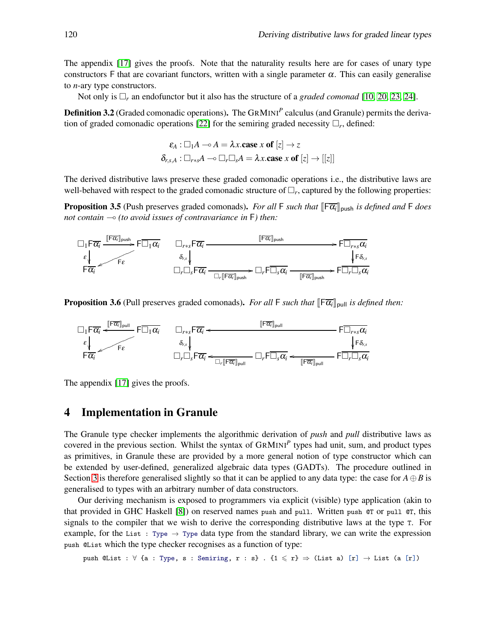The appendix [\[17\]](#page-21-6) gives the proofs. Note that the naturality results here are for cases of unary type constructors F that are covariant functors, written with a single parameter  $\alpha$ . This can easily generalise to *n*-ary type constructors.

Not only is  $\Box_r$  an endofunctor but it also has the structure of a *graded comonad* [\[10,](#page-21-9) 20, [23,](#page-21-3) 24].

Definition 3.2 (Graded comonadic operations). The GRMINI<sup>P</sup> calculus (and Granule) permits the derivation of graded comonadic operations [22] for the semiring graded necessity  $\Box_r$ , defined:

$$
\varepsilon_A: \Box_1 A \multimap A = \lambda x.\textbf{case } x \textbf{ of } [z] \to z
$$

$$
\delta_{r,s,A}: \Box_{r+s} A \multimap \Box_r \Box_s A = \lambda x.\textbf{case } x \textbf{ of } [z] \to [[z]]
$$

The derived distributive laws preserve these graded comonadic operations i.e., the distributive laws are well-behaved with respect to the graded comonadic structure of  $\Box_r$ , captured by the following properties:

**Proposition 3.5** (Push preserves graded comonads). *For all* F *such that*  $\|\mathsf{F}\overline{\alpha_i}\|_{\text{push}}$  *is defined and* F *does not contain* ⊸ *(to avoid issues of contravariance in* F*) then:*



**Proposition 3.6** (Pull preserves graded comonads). *For all* F *such that*  $\|\mathsf{F}\overline{\alpha_i}\|_{\text{pull}}$  *is defined then:* 



The appendix [\[17\]](#page-21-6) gives the proofs.

### <span id="page-11-0"></span>4 Implementation in Granule

The Granule type checker implements the algorithmic derivation of *push* and *pull* distributive laws as covered in the previous section. Whilst the syntax of GRMINI*<sup>P</sup>* types had unit, sum, and product types as primitives, in Granule these are provided by a more general notion of type constructor which can be extended by user-defined, generalized algebraic data types (GADTs). The procedure outlined in Section [3](#page-7-0) is therefore generalised slightly so that it can be applied to any data type: the case for  $A \oplus B$  is generalised to types with an arbitrary number of data constructors.

Our deriving mechanism is exposed to programmers via explicit (visible) type application (akin to that provided in GHC Haskell [\[8\]](#page-21-10)) on reserved names push and pull. Written push @T or pull @T, this signals to the compiler that we wish to derive the corresponding distributive laws at the type T. For example, for the List : Type  $\rightarrow$  Type data type from the standard library, we can write the expression push @List which the type checker recognises as a function of type:

push @List :  $\forall$  {a : Type, s : Semiring, r : s} . {1  $\leq$  r}  $\Rightarrow$  (List a) [r]  $\rightarrow$  List (a [r])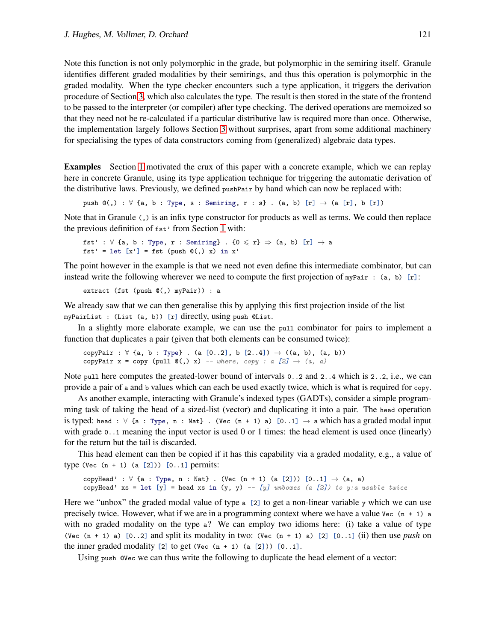Note this function is not only polymorphic in the grade, but polymorphic in the semiring itself. Granule identifies different graded modalities by their semirings, and thus this operation is polymorphic in the graded modality. When the type checker encounters such a type application, it triggers the derivation procedure of Section [3,](#page-7-0) which also calculates the type. The result is then stored in the state of the frontend to be passed to the interpreter (or compiler) after type checking. The derived operations are memoized so that they need not be re-calculated if a particular distributive law is required more than once. Otherwise, the implementation largely follows Section [3](#page-7-0) without surprises, apart from some additional machinery for specialising the types of data constructors coming from (generalized) algebraic data types.

Examples Section [1](#page-0-1) motivated the crux of this paper with a concrete example, which we can replay here in concrete Granule, using its type application technique for triggering the automatic derivation of the distributive laws. Previously, we defined pushPair by hand which can now be replaced with:

```
push \mathbb{Q}(,) : \forall {a, b : Type, s : Semiring, r : s} . (a, b) [r] \rightarrow (a [r], b [r])
```
Note that in Granule (,) is an infix type constructor for products as well as terms. We could then replace the previous definition of fst' from Section [1](#page-0-1) with:

```
fst' : \forall {a, b : Type, r : Semiring} . {0 \leq r} \Rightarrow (a, b) [r] \rightarrow a
fst' = let [x'] = fst (push @(), x) in x'
```
The point however in the example is that we need not even define this intermediate combinator, but can instead write the following wherever we need to compute the first projection of  $myPair : (a, b) [r]:$ 

```
extract (fst (push @(,) myPair)) : a
```
We already saw that we can then generalise this by applying this first projection inside of the list myPairList : (List (a, b)) [r] directly, using push @List.

In a slightly more elaborate example, we can use the pull combinator for pairs to implement a function that duplicates a pair (given that both elements can be consumed twice):

copyPair :  $\forall$  {a, b : Type} . (a [0..2], b [2..4])  $\rightarrow$  ((a, b), (a, b)) copyPair  $x = copy$  (pull  $Q(.) x$ ) -- where, copy : a [2]  $\rightarrow$  (a, a)

Note pull here computes the greated-lower bound of intervals 0..2 and 2..4 which is 2..2, i.e., we can provide a pair of a and b values which can each be used exactly twice, which is what is required for copy.

As another example, interacting with Granule's indexed types (GADTs), consider a simple programming task of taking the head of a sized-list (vector) and duplicating it into a pair. The head operation is typed: head :  $\forall$  {a : Type, n : Nat}. (Vec (n + 1) a) [0..1]  $\rightarrow$  a which has a graded modal input with grade 0..1 meaning the input vector is used 0 or 1 times: the head element is used once (linearly) for the return but the tail is discarded.

This head element can then be copied if it has this capability via a graded modality, e.g., a value of type (Vec  $(n + 1)$   $(a [2])$ )  $[0..1]$  permits:

```
copyHead' : \forall {a : Type, n : Nat} . (Vec (n + 1) (a [2])) [0..1] \rightarrow (a, a)copyHead' xs = let [y] = head xs in (y, y) -- [y] unboxes (a [2]) to y:a usable twice
```
Here we "unbox" the graded modal value of type a [2] to get a non-linear variable y which we can use precisely twice. However, what if we are in a programming context where we have a value  $Vec$  (n + 1) a with no graded modality on the type a? We can employ two idioms here: (i) take a value of type (Vec  $(n + 1)$  a)  $[0..2]$  and split its modality in two: (Vec  $(n + 1)$  a)  $[2]$   $[0..1]$  (ii) then use *push* on the inner graded modality  $[2]$  to get (Vec  $(n + 1)$   $(a [2])$ )  $[0..1]$ .

Using push @Vec we can thus write the following to duplicate the head element of a vector: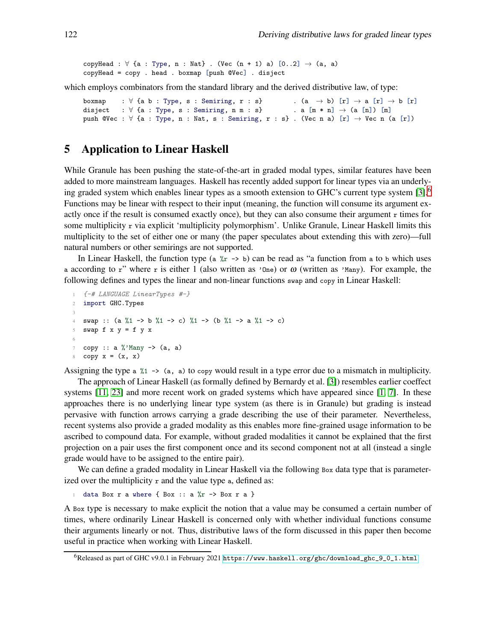copyHead :  $\forall$  {a : Type, n : Nat} . (Vec  $(n + 1)$  a)  $[0..2] \rightarrow (a, a)$ copyHead = copy . head . boxmap [push @Vec] . disject

which employs combinators from the standard library and the derived distributive law, of type:

```
boxmap : \forall {a b : Type, s : Semiring, r : s} . (a \rightarrow b) [r] \rightarrow a [r] \rightarrow b [r]
disject : \forall {a : Type, s : Semiring, n m : s} . a [m * n] \rightarrow (a [n]) [m]
push @Vec : \forall {a : Type, n : Nat, s : Semiring, r : s} . (Vec n a) [r] \rightarrow Vec n (a [r])
```
### <span id="page-13-0"></span>5 Application to Linear Haskell

While Granule has been pushing the state-of-the-art in graded modal types, similar features have been added to more mainstream languages. Haskell has recently added support for linear types via an underlying graded system which enables linear types as a smooth extension to GHC's current type system  $[3]$ .<sup>[6](#page-13-1)</sup> Functions may be linear with respect to their input (meaning, the function will consume its argument exactly once if the result is consumed exactly once), but they can also consume their argument  $r$  times for some multiplicity r via explicit 'multiplicity polymorphism'. Unlike Granule, Linear Haskell limits this multiplicity to the set of either one or many (the paper speculates about extending this with zero)—full natural numbers or other semirings are not supported.

In Linear Haskell, the function type (a  $\chi$ r  $\rightarrow$  b) can be read as "a function from a to b which uses a according to r" where r is either 1 (also written as 'One) or  $\omega$  (written as 'Many). For example, the following defines and types the linear and non-linear functions swap and copy in Linear Haskell:

```
1 {-# LANGUAGE LinearTypes #-}
2 import GHC.Types
3
4 swap :: (a %1 -> b %1 -> c) %1 -> (b %1 -> a %1 -> c)
5 swap f \times y = f \times x6
\tau copy :: a %'Many -> (a, a)
8 copy x = (x, x)
```
Assigning the type a  $\chi_1 \rightarrow \chi_2$ , a) to copy would result in a type error due to a mismatch in multiplicity.

The approach of Linear Haskell (as formally defined by Bernardy et al. [\[3\]](#page-20-2)) resembles earlier coeffect systems [\[11,](#page-21-2) [23\]](#page-21-3) and more recent work on graded systems which have appeared since [\[1,](#page-20-1) [7\]](#page-20-5). In these approaches there is no underlying linear type system (as there is in Granule) but grading is instead pervasive with function arrows carrying a grade describing the use of their parameter. Nevertheless, recent systems also provide a graded modality as this enables more fine-grained usage information to be ascribed to compound data. For example, without graded modalities it cannot be explained that the first projection on a pair uses the first component once and its second component not at all (instead a single grade would have to be assigned to the entire pair).

We can define a graded modality in Linear Haskell via the following Box data type that is parameterized over the multiplicity  $r$  and the value type  $a$ , defined as:

1 data Box r a where { Box :: a  $\frac{9}{6}$ r -> Box r a }

A Box type is necessary to make explicit the notion that a value may be consumed a certain number of times, where ordinarily Linear Haskell is concerned only with whether individual functions consume their arguments linearly or not. Thus, distributive laws of the form discussed in this paper then become useful in practice when working with Linear Haskell.

<span id="page-13-1"></span><sup>6</sup>Released as part of GHC v9.0.1 in February 2021 [https://www.haskell.org/ghc/download\\_ghc\\_9\\_0\\_1.html](https://www.haskell.org/ghc/download_ghc_9_0_1.html)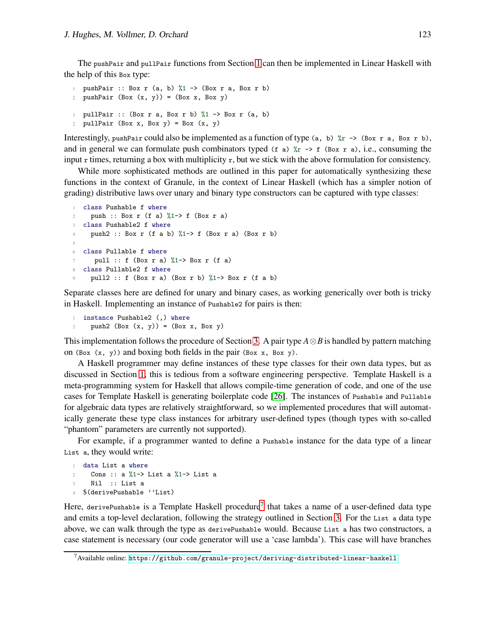The pushPair and pullPair functions from Section [1](#page-0-1) can then be implemented in Linear Haskell with the help of this Box type:

```
1 pushPair :: Box r (a, b) %1 -> (Box r a, Box r b)
2 pushPair (Box (x, y)) = (Box x, Box y)
1 pullPair :: (Box r a, Box r b) %1 -> Box r (a, b)
2 pullPair (Box x, Box y) = Box (x, y)
```
Interestingly, pushPair could also be implemented as a function of type (a, b)  $\chi$ r -> (Box r a, Box r b), and in general we can formulate push combinators typed (f a)  $\chi_r \rightarrow f$  (Box r a), i.e., consuming the input  $r$  times, returning a box with multiplicity  $r$ , but we stick with the above formulation for consistency.

While more sophisticated methods are outlined in this paper for automatically synthesizing these functions in the context of Granule, in the context of Linear Haskell (which has a simpler notion of grading) distributive laws over unary and binary type constructors can be captured with type classes:

```
1 class Pushable f where
     push :: Box r (f a) \frac{1}{2} -> f (Box r a)
3 class Pushable2 f where
4 push2 :: Box r (f a b) \frac{9}{1} > f (Box r a) (Box r b)
5
6 class Pullable f where
      pull :: f (Box r a) \frac{9}{4} -> Box r (f a)
8 class Pullable2 f where
9 pull2 :: f (Box r a) (Box r b) \frac{9}{4} Box r (f a b)
```
Separate classes here are defined for unary and binary cases, as working generically over both is tricky in Haskell. Implementing an instance of Pushable2 for pairs is then:

```
1 instance Pushable2 (,) where
2 push2 (Box (x, y)) = (Box x, Box y)
```
This implementation follows the procedure of Section [3.](#page-7-0) A pair type *A*⊗*B* is handled by pattern matching on (Box  $(x, y)$ ) and boxing both fields in the pair (Box  $x$ , Box  $y$ ).

A Haskell programmer may define instances of these type classes for their own data types, but as discussed in Section [1,](#page-0-1) this is tedious from a software engineering perspective. Template Haskell is a meta-programming system for Haskell that allows compile-time generation of code, and one of the use cases for Template Haskell is generating boilerplate code [\[26\]](#page-22-4). The instances of Pushable and Pullable for algebraic data types are relatively straightforward, so we implemented procedures that will automatically generate these type class instances for arbitrary user-defined types (though types with so-called "phantom" parameters are currently not supported).

For example, if a programmer wanted to define a Pushable instance for the data type of a linear List a, they would write:

```
1 data List a where
2 Cons :: a %1-> List a %1-> List a
3 Nil :: List a
4 $(derivePushable ''List)
```
Here, derivePushable is a Template Haskell procedure<sup>[7](#page-14-0)</sup> that takes a name of a user-defined data type and emits a top-level declaration, following the strategy outlined in Section [3.](#page-7-0) For the List a data type above, we can walk through the type as derivePushable would. Because List a has two constructors, a case statement is necessary (our code generator will use a 'case lambda'). This case will have branches

<span id="page-14-0"></span><sup>7</sup>Available online: <https://github.com/granule-project/deriving-distributed-linear-haskell>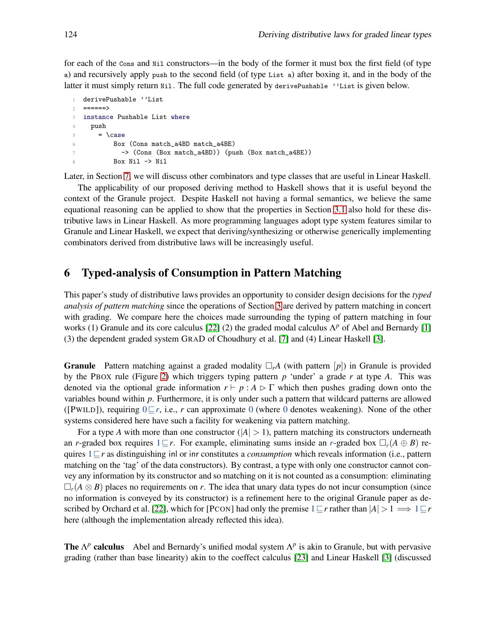for each of the Cons and Nil constructors—in the body of the former it must box the first field (of type a) and recursively apply push to the second field (of type List a) after boxing it, and in the body of the latter it must simply return Nil. The full code generated by derivePushable 'List is given below.

```
1 derivePushable ''List
2 =====>3 instance Pushable List where
4 push
5 = \text{case}6 Box (Cons match_a4BD match_a4BE)
7 -> (Cons (Box match_a4BD)) (push (Box match_a4BE))
8 Box Nil -> Nil
```
Later, in Section [7,](#page-17-0) we will discuss other combinators and type classes that are useful in Linear Haskell.

The applicability of our proposed deriving method to Haskell shows that it is useful beyond the context of the Granule project. Despite Haskell not having a formal semantics, we believe the same equational reasoning can be applied to show that the properties in Section [3.1](#page-9-1) also hold for these distributive laws in Linear Haskell. As more programming languages adopt type system features similar to Granule and Linear Haskell, we expect that deriving/synthesizing or otherwise generically implementing combinators derived from distributive laws will be increasingly useful.

### <span id="page-15-0"></span>6 Typed-analysis of Consumption in Pattern Matching

This paper's study of distributive laws provides an opportunity to consider design decisions for the *typed analysis of pattern matching* since the operations of Section [3](#page-7-0) are derived by pattern matching in concert with grading. We compare here the choices made surrounding the typing of pattern matching in four works (1) Granule and its core calculus [22] (2) the graded modal calculus Λ *<sup>p</sup>* of Abel and Bernardy [\[1\]](#page-20-1) (3) the dependent graded system GRAD of Choudhury et al. [\[7\]](#page-20-5) and (4) Linear Haskell [\[3\]](#page-20-2).

**Granule** Pattern matching against a graded modality  $\Box_r A$  (with pattern  $[p]$ ) in Granule is provided by the PBOX rule (Figure [2\)](#page-5-0) which triggers typing pattern *p* 'under' a grade *r* at type *A*. This was denoted via the optional grade information  $r \vdash p : A \rhd \Gamma$  which then pushes grading down onto the variables bound within *p*. Furthermore, it is only under such a pattern that wildcard patterns are allowed ([PWILD]), requiring 0⊑*r*, i.e., *r* can approximate 0 (where 0 denotes weakening). None of the other systems considered here have such a facility for weakening via pattern matching.

For a type A with more than one constructor  $(|A| > 1)$ , pattern matching its constructors underneath an *r*-graded box requires  $1 \sqsubseteq r$ . For example, eliminating sums inside an *r*-graded box  $\Box_r(A \oplus B)$  requires 1⊑*r* as distinguishing inl or inr constitutes a *consumption* which reveals information (i.e., pattern matching on the 'tag' of the data constructors). By contrast, a type with only one constructor cannot convey any information by its constructor and so matching on it is not counted as a consumption: eliminating  $\Box_r(A \otimes B)$  places no requirements on *r*. The idea that unary data types do not incur consumption (since no information is conveyed by its constructor) is a refinement here to the original Granule paper as described by Orchard et al. [22], which for [PCON] had only the premise  $1 \subseteq r$  rather than  $|A| > 1 \implies 1 \subseteq r$ here (although the implementation already reflected this idea).

**The**  $\Lambda^p$  **calculus** Abel and Bernardy's unified modal system  $\Lambda^p$  is akin to Granule, but with pervasive grading (rather than base linearity) akin to the coeffect calculus [\[23\]](#page-21-3) and Linear Haskell [\[3\]](#page-20-2) (discussed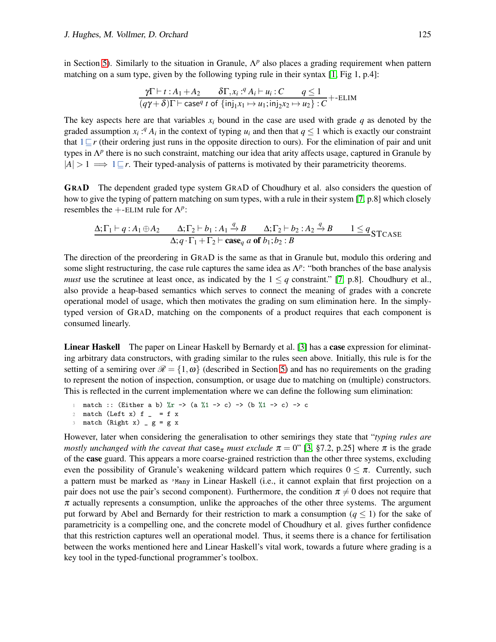in Section [5\)](#page-13-0). Similarly to the situation in Granule,  $\Lambda^p$  also places a grading requirement when pattern matching on a sum type, given by the following typing rule in their syntax  $[1, Fig 1, p.4]$ :

$$
\frac{\gamma \Gamma \vdash t : A_1 + A_2 \qquad \delta \Gamma, x_i : {}^q A_i \vdash u_i : C \qquad q \le 1}{(q\gamma + \delta)\Gamma \vdash \text{case}^q t \text{ of } \{\text{inj}_1 x_1 \mapsto u_1; \text{inj}_2 x_2 \mapsto u_2\} : C} + \text{ELIM}
$$

The key aspects here are that variables  $x_i$  bound in the case are used with grade  $q$  as denoted by the graded assumption  $x_i$ :<sup>*q*</sup>  $A_i$  in the context of typing  $u_i$  and then that  $q \leq 1$  which is exactly our constraint that 1⊑*r* (their ordering just runs in the opposite direction to ours). For the elimination of pair and unit types in Λ<sup>*p*</sup> there is no such constraint, matching our idea that arity affects usage, captured in Granule by  $|A| > 1 \implies 1 \subseteq r$ . Their typed-analysis of patterns is motivated by their parametricity theorems.

GRAD The dependent graded type system GRAD of Choudhury et al. also considers the question of how to give the typing of pattern matching on sum types, with a rule in their system [\[7,](#page-20-5) p.8] which closely resembles the  $+$ -ELIM rule for  $\Lambda^p$ :

$$
\frac{\Delta; \Gamma_1 \vdash q: A_1 \oplus A_2 \qquad \Delta; \Gamma_2 \vdash b_1: A_1 \stackrel{q}{\rightarrow} B \qquad \Delta; \Gamma_2 \vdash b_2: A_2 \stackrel{q}{\rightarrow} B \qquad 1 \leq q}{\Delta; q \cdot \Gamma_1 + \Gamma_2 \vdash \mathbf{case}_q \ a \ \mathbf{of} \ b_1; b_2 : B} \qquad 1 \leq q \text{STcase}
$$

The direction of the preordering in GRAD is the same as that in Granule but, modulo this ordering and some slight restructuring, the case rule captures the same idea as  $\Lambda^p$ : "both branches of the base analysis *must* use the scrutinee at least once, as indicated by the  $1 \leq q$  constraint." [\[7,](#page-20-5) p.8]. Choudhury et al., also provide a heap-based semantics which serves to connect the meaning of grades with a concrete operational model of usage, which then motivates the grading on sum elimination here. In the simplytyped version of GRAD, matching on the components of a product requires that each component is consumed linearly.

Linear Haskell The paper on Linear Haskell by Bernardy et al. [\[3\]](#page-20-2) has a case expression for eliminating arbitrary data constructors, with grading similar to the rules seen above. Initially, this rule is for the setting of a semiring over  $\mathcal{R} = \{1, \omega\}$  (described in Section [5\)](#page-13-0) and has no requirements on the grading to represent the notion of inspection, consumption, or usage due to matching on (multiple) constructors. This is reflected in the current implementation where we can define the following sum elimination:

```
1 match :: (Either a b) \chir -> (a \chi1 -> c) -> (b \chi1 -> c) -> c
2 match (Left x) f = f x
```

```
3 match (Right x) g = g x
```
However, later when considering the generalisation to other semirings they state that "*typing rules are mostly unchanged with the caveat that* case<sub> $\pi$ </sub> *must exclude*  $\pi = 0$ " [\[3,](#page-20-2) §7.2, p.25] where  $\pi$  is the grade of the case guard. This appears a more coarse-grained restriction than the other three systems, excluding even the possibility of Granule's weakening wildcard pattern which requires  $0 \leq \pi$ . Currently, such a pattern must be marked as 'Many in Linear Haskell (i.e., it cannot explain that first projection on a pair does not use the pair's second component). Furthermore, the condition  $\pi \neq 0$  does not require that  $\pi$  actually represents a consumption, unlike the approaches of the other three systems. The argument put forward by Abel and Bernardy for their restriction to mark a consumption  $(q \le 1)$  for the sake of parametricity is a compelling one, and the concrete model of Choudhury et al. gives further confidence that this restriction captures well an operational model. Thus, it seems there is a chance for fertilisation between the works mentioned here and Linear Haskell's vital work, towards a future where grading is a key tool in the typed-functional programmer's toolbox.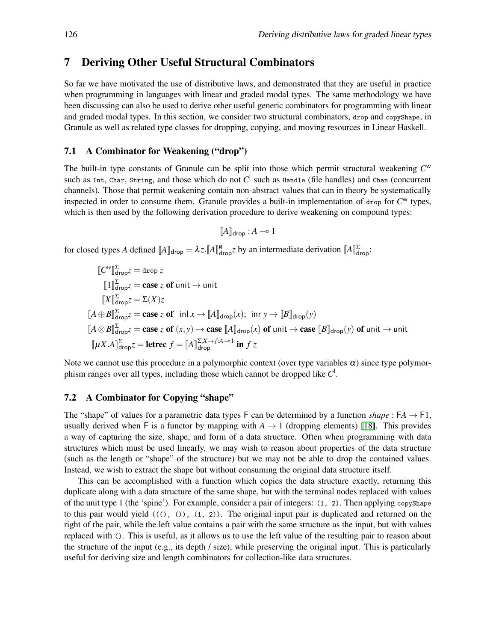### <span id="page-17-0"></span>7 Deriving Other Useful Structural Combinators

So far we have motivated the use of distributive laws, and demonstrated that they are useful in practice when programming in languages with linear and graded modal types. The same methodology we have been discussing can also be used to derive other useful generic combinators for programming with linear and graded modal types. In this section, we consider two structural combinators, drop and copyShape, in Granule as well as related type classes for dropping, copying, and moving resources in Linear Haskell.

### 7.1 A Combinator for Weakening ("drop")

The built-in type constants of Granule can be split into those which permit structural weakening *C* w such as Int, Char, String, and those which do not  $C^{\mathsf{I}}$  such as Handle (file handles) and Chan (concurrent channels). Those that permit weakening contain non-abstract values that can in theory be systematically inspected in order to consume them. Granule provides a built-in implementation of drop for *C* <sup>w</sup> types, which is then used by the following derivation procedure to derive weakening on compound types:

$$
[\![A]\!]_{\sf drop}:A\multimap 1
$$

for closed types *A* defined  $[\![A]\!]_{\text{drop}} = \lambda z \cdot [\![A]\!]_{\text{drop}}^{\emptyset} z$  by an intermediate derivation  $[\![A]\!]_{\text{drop}}^{\Sigma}$ :

$$
\begin{aligned}\n\llbracket C^w \rrbracket^{\Sigma}_{\text{drop}} z &= \text{drop } z \\
\llbracket 1 \rrbracket^{\Sigma}_{\text{drop}} z &= \text{case } z \text{ of unit} \rightarrow \text{unit} \\
\llbracket X \rrbracket^{\Sigma}_{\text{drop}} z &= \Sigma(X)z \\
\llbracket A \oplus B \rrbracket^{\Sigma}_{\text{drop}} z &= \text{case } z \text{ of } \text{ in } x \rightarrow \llbracket A \rrbracket_{\text{drop}}(x); \text{ in } y \rightarrow \llbracket B \rrbracket_{\text{drop}}(y) \\
\llbracket A \otimes B \rrbracket^{\Sigma}_{\text{drop}} z &= \text{case } z \text{ of } (x, y) \rightarrow \text{case } \llbracket A \rrbracket_{\text{drop}}(x) \text{ of unit} \rightarrow \text{case } \llbracket B \rrbracket_{\text{drop}}(y) \text{ of unit} \rightarrow \text{unit} \\
\llbracket \mu X. A \rrbracket^{\Sigma}_{\text{drop}} z &= \text{letrec } f = \llbracket A \rrbracket^{\Sigma, X \mapsto f : A \multimap 1} \text{ in } f z\n\end{aligned}
$$

Note we cannot use this procedure in a polymorphic context (over type variables  $\alpha$ ) since type polymorphism ranges over all types, including those which cannot be dropped like *C* l .

#### 7.2 A Combinator for Copying "shape"

The "shape" of values for a parametric data types F can be determined by a function *shape* :  $FA \rightarrow F1$ , usually derived when F is a functor by mapping with  $A \rightarrow 1$  (dropping elements) [\[18\]](#page-21-11). This provides a way of capturing the size, shape, and form of a data structure. Often when programming with data structures which must be used linearly, we may wish to reason about properties of the data structure (such as the length or "shape" of the structure) but we may not be able to drop the contained values. Instead, we wish to extract the shape but without consuming the original data structure itself.

This can be accomplished with a function which copies the data structure exactly, returning this duplicate along with a data structure of the same shape, but with the terminal nodes replaced with values of the unit type 1 (the 'spine'). For example, consider a pair of integers: (1, 2). Then applying copyShape to this pair would yield  $((\langle \rangle, \langle \rangle), (1, 2))$ . The original input pair is duplicated and returned on the right of the pair, while the left value contains a pair with the same structure as the input, but with values replaced with (). This is useful, as it allows us to use the left value of the resulting pair to reason about the structure of the input (e.g., its depth / size), while preserving the original input. This is particularly useful for deriving size and length combinators for collection-like data structures.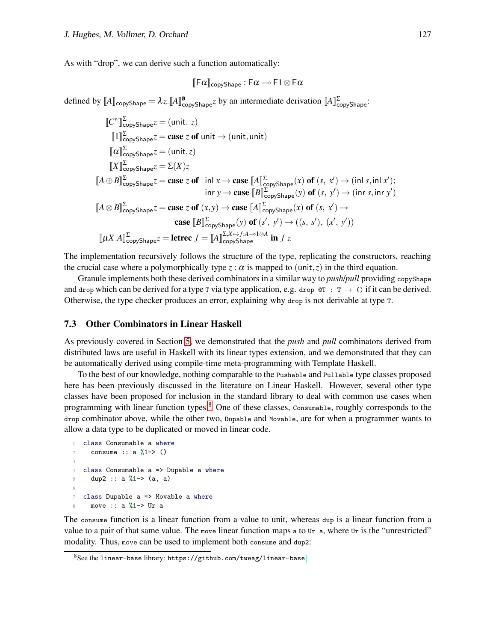As with "drop", we can derive such a function automatically:

$$
\llbracket \mathsf{F}\alpha \rrbracket_{\mathsf{copyShape}} \, \colon \mathsf{F}\alpha \multimap \mathsf{F}1 \otimes \mathsf{F}\alpha
$$

defined by  $[A]_{\text{copyShape}} = \lambda z \cdot [A]_{\text{copyShape}}^{\emptyset} z$  by an intermediate derivation  $[A]_{\text{copyShape}}^{\Sigma}$ :

$$
\begin{aligned}\n\llbracket C^w \rrbracket_{\text{copyShape}}^{\Sigma} z &= (\text{unit}, z) \\
\llbracket 1 \rrbracket_{\text{copyShape}}^{\Sigma} z &= \text{case } z \text{ of unit} \rightarrow (\text{unit}, \text{unit}) \\
\llbracket \alpha \rrbracket_{\text{copyShape}}^{\Sigma} z &= (\text{unit}, z) \\
\llbracket X \rrbracket_{\text{copyShape}}^{\Sigma} z &= \Sigma(X)z \\
\llbracket A \oplus B \rrbracket_{\text{copyShape}}^{\Sigma} z &= \text{case } z \text{ of } \text{ in } x \rightarrow \text{case } \llbracket A \rrbracket_{\text{copyShape}}^{\Sigma}(x) \text{ of } (s, x') \rightarrow (\text{in } s, \text{in } x); \\
&\text{in } y \rightarrow \text{case } \llbracket B \rrbracket_{\text{copyShape}}^{\Sigma}(y) \text{ of } (s, y') \rightarrow (\text{in } s, \text{in } y') \\
\llbracket A \otimes B \rrbracket_{\text{copyShape}}^{\Sigma} z &= \text{case } z \text{ of } (x, y) \rightarrow \text{case } \llbracket A \rrbracket_{\text{copyShape}}^{\Sigma}(x) \text{ of } (s, x') \rightarrow \\
&\text{case } \llbracket B \rrbracket_{\text{copyShape}}^{\Sigma}(y) \text{ of } (s', y') \rightarrow ((s, s'), (x', y')) \\
\llbracket \mu X. A \rrbracket_{\text{copyShape}}^{\Sigma} z &= \text{letrec } f = \llbracket A \rrbracket_{\text{copyShape}}^{\Sigma X \mapsto f: A \rightarrow 1 \otimes A} \text{ in } f z\n\end{aligned}
$$

The implementation recursively follows the structure of the type, replicating the constructors, reaching the crucial case where a polymorphically type  $z : \alpha$  is mapped to (unit, *z*) in the third equation.

Granule implements both these derived combinators in a similar way to *push*/*pull* providing copyShape and drop which can be derived for a type T via type application, e.g. drop  $\mathfrak{C}T : T \to \emptyset$  if it can be derived. Otherwise, the type checker produces an error, explaining why drop is not derivable at type T.

#### 7.3 Other Combinators in Linear Haskell

As previously covered in Section [5,](#page-13-0) we demonstrated that the *push* and *pull* combinators derived from distributed laws are useful in Haskell with its linear types extension, and we demonstrated that they can be automatically derived using compile-time meta-programming with Template Haskell.

To the best of our knowledge, nothing comparable to the Pushable and Pullable type classes proposed here has been previously discussed in the literature on Linear Haskell. However, several other type classes have been proposed for inclusion in the standard library to deal with common use cases when programming with linear function types.<sup>[8](#page-18-0)</sup> One of these classes, Consumable, roughly corresponds to the drop combinator above, while the other two, Dupable and Movable, are for when a programmer wants to allow a data type to be duplicated or moved in linear code.

```
1 class Consumable a where
     consume :: a \frac{9}{2}1-> ()
3
4 class Consumable a => Dupable a where
     dup2 :: a %1-> (a, a)
6
7 class Dupable a => Movable a where
     move :: a \frac{9}{1} -> Ur a
```
The consume function is a linear function from a value to unit, whereas dup is a linear function from a value to a pair of that same value. The move linear function maps a to Ur a, where Ur is the "unrestricted" modality. Thus, move can be used to implement both consume and dup2:

<span id="page-18-0"></span> $8$ See the linear-base library: <https://github.com/tweag/linear-base>.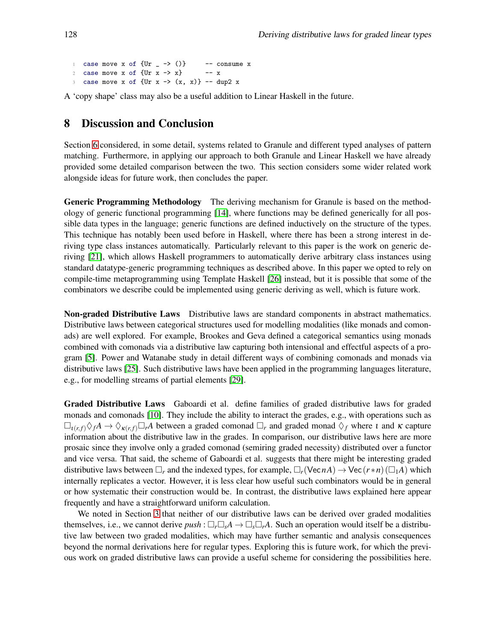1 case move x of  ${Ur - > ()}$  -- consume x<br>
2 case move x of  ${Ur x -> x}$  -- x 2 case move x of  $\{Ur x \rightarrow x\}$ 3 case move x of  $\{Ur x -> (x, x)\}$  -- dup2 x

<span id="page-19-0"></span>A 'copy shape' class may also be a useful addition to Linear Haskell in the future.

# 8 Discussion and Conclusion

Section [6](#page-15-0) considered, in some detail, systems related to Granule and different typed analyses of pattern matching. Furthermore, in applying our approach to both Granule and Linear Haskell we have already provided some detailed comparison between the two. This section considers some wider related work alongside ideas for future work, then concludes the paper.

Generic Programming Methodology The deriving mechanism for Granule is based on the methodology of generic functional programming [\[14\]](#page-21-4), where functions may be defined generically for all possible data types in the language; generic functions are defined inductively on the structure of the types. This technique has notably been used before in Haskell, where there has been a strong interest in deriving type class instances automatically. Particularly relevant to this paper is the work on generic deriving [\[21\]](#page-21-8), which allows Haskell programmers to automatically derive arbitrary class instances using standard datatype-generic programming techniques as described above. In this paper we opted to rely on compile-time metaprogramming using Template Haskell [\[26\]](#page-22-4) instead, but it is possible that some of the combinators we describe could be implemented using generic deriving as well, which is future work.

Non-graded Distributive Laws Distributive laws are standard components in abstract mathematics. Distributive laws between categorical structures used for modelling modalities (like monads and comonads) are well explored. For example, Brookes and Geva defined a categorical semantics using monads combined with comonads via a distributive law capturing both intensional and effectful aspects of a program [\[5\]](#page-20-6). Power and Watanabe study in detail different ways of combining comonads and monads via distributive laws [\[25\]](#page-22-3). Such distributive laws have been applied in the programming languages literature, e.g., for modelling streams of partial elements [\[29\]](#page-22-5).

Graded Distributive Laws Gaboardi et al. define families of graded distributive laws for graded monads and comonads [\[10\]](#page-21-9). They include the ability to interact the grades, e.g., with operations such as  $\Box_{\iota(r,f)} \Diamond_f A \to \Diamond_{\kappa(r,f)} \Box_r A$  between a graded comonad  $\Box_r$  and graded monad  $\Diamond_f$  where  $\iota$  and  $\kappa$  capture information about the distributive law in the grades. In comparison, our distributive laws here are more prosaic since they involve only a graded comonad (semiring graded necessity) distributed over a functor and vice versa. That said, the scheme of Gaboardi et al. suggests that there might be interesting graded distributive laws between  $\Box_r$  and the indexed types, for example,  $\Box_r(VecnA) \rightarrow Vec(r*n)(\Box_1A)$  which internally replicates a vector. However, it is less clear how useful such combinators would be in general or how systematic their construction would be. In contrast, the distributive laws explained here appear frequently and have a straightforward uniform calculation.

We noted in Section [3](#page-7-0) that neither of our distributive laws can be derived over graded modalities themselves, i.e., we cannot derive  $push : \Box_r \Box_s A \rightarrow \Box_s \Box_r A$ . Such an operation would itself be a distributive law between two graded modalities, which may have further semantic and analysis consequences beyond the normal derivations here for regular types. Exploring this is future work, for which the previous work on graded distributive laws can provide a useful scheme for considering the possibilities here.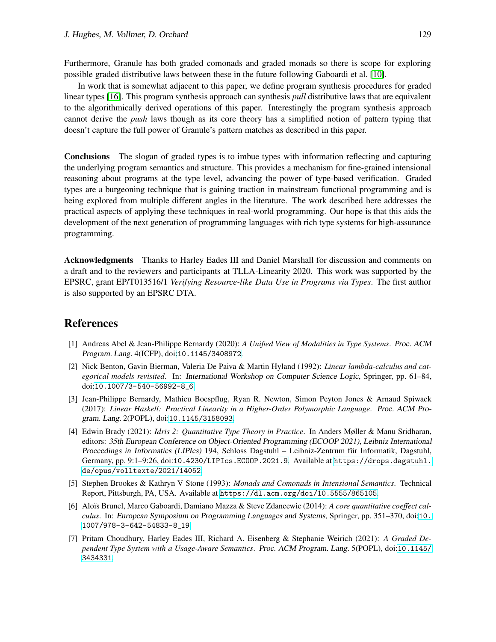Furthermore, Granule has both graded comonads and graded monads so there is scope for exploring possible graded distributive laws between these in the future following Gaboardi et al. [\[10\]](#page-21-9).

In work that is somewhat adjacent to this paper, we define program synthesis procedures for graded linear types [16]. This program synthesis approach can synthesis *pull* distributive laws that are equivalent to the algorithmically derived operations of this paper. Interestingly the program synthesis approach cannot derive the *push* laws though as its core theory has a simplified notion of pattern typing that doesn't capture the full power of Granule's pattern matches as described in this paper.

Conclusions The slogan of graded types is to imbue types with information reflecting and capturing the underlying program semantics and structure. This provides a mechanism for fine-grained intensional reasoning about programs at the type level, advancing the power of type-based verification. Graded types are a burgeoning technique that is gaining traction in mainstream functional programming and is being explored from multiple different angles in the literature. The work described here addresses the practical aspects of applying these techniques in real-world programming. Our hope is that this aids the development of the next generation of programming languages with rich type systems for high-assurance programming.

Acknowledgments Thanks to Harley Eades III and Daniel Marshall for discussion and comments on a draft and to the reviewers and participants at TLLA-Linearity 2020. This work was supported by the EPSRC, grant EP/T013516/1 *Verifying Resource-like Data Use in Programs via Types*. The first author is also supported by an EPSRC DTA.

# <span id="page-20-1"></span>References

- [1] Andreas Abel & Jean-Philippe Bernardy (2020): *A Unified View of Modalities in Type Systems*. Proc. ACM Program. Lang. 4(ICFP), doi:[10.1145/3408972](http://dx.doi.org/10.1145/3408972).
- <span id="page-20-4"></span>[2] Nick Benton, Gavin Bierman, Valeria De Paiva & Martin Hyland (1992): *Linear lambda-calculus and categorical models revisited*. In: International Workshop on Computer Science Logic, Springer, pp. 61–84, doi:[10.1007/3-540-56992-8\\_6](http://dx.doi.org/10.1007/3-540-56992-8_6).
- <span id="page-20-2"></span>[3] Jean-Philippe Bernardy, Mathieu Boespflug, Ryan R. Newton, Simon Peyton Jones & Arnaud Spiwack (2017): *Linear Haskell: Practical Linearity in a Higher-Order Polymorphic Language*. Proc. ACM Program. Lang. 2(POPL), doi:[10.1145/3158093](http://dx.doi.org/10.1145/3158093).
- <span id="page-20-3"></span>[4] Edwin Brady (2021): *Idris 2: Quantitative Type Theory in Practice*. In Anders Møller & Manu Sridharan, editors: 35th European Conference on Object-Oriented Programming (ECOOP 2021), Leibniz International Proceedings in Informatics (LIPIcs) 194, Schloss Dagstuhl – Leibniz-Zentrum für Informatik, Dagstuhl, Germany, pp. 9:1-9:26, doi:[10.4230/LIPIcs.ECOOP.2021.9](http://dx.doi.org/10.4230/LIPIcs.ECOOP.2021.9). Available at [https://drops.dagstuhl.](https://drops.dagstuhl.de/opus/volltexte/2021/14052) [de/opus/volltexte/2021/14052](https://drops.dagstuhl.de/opus/volltexte/2021/14052).
- <span id="page-20-6"></span>[5] Stephen Brookes & Kathryn V Stone (1993): *Monads and Comonads in Intensional Semantics*. Technical Report, Pittsburgh, PA, USA. Available at <https://dl.acm.org/doi/10.5555/865105>.
- <span id="page-20-0"></span>[6] Aloïs Brunel, Marco Gaboardi, Damiano Mazza & Steve Zdancewic (2014): *A core quantitative coeffect calculus*. In: European Symposium on Programming Languages and Systems, Springer, pp. 351–370, doi:[10.](http://dx.doi.org/10.1007/978-3-642-54833-8_19) [1007/978-3-642-54833-8\\_19](http://dx.doi.org/10.1007/978-3-642-54833-8_19).
- <span id="page-20-5"></span>[7] Pritam Choudhury, Harley Eades III, Richard A. Eisenberg & Stephanie Weirich (2021): *A Graded Dependent Type System with a Usage-Aware Semantics*. Proc. ACM Program. Lang. 5(POPL), doi:[10.1145/](http://dx.doi.org/10.1145/3434331) [3434331](http://dx.doi.org/10.1145/3434331).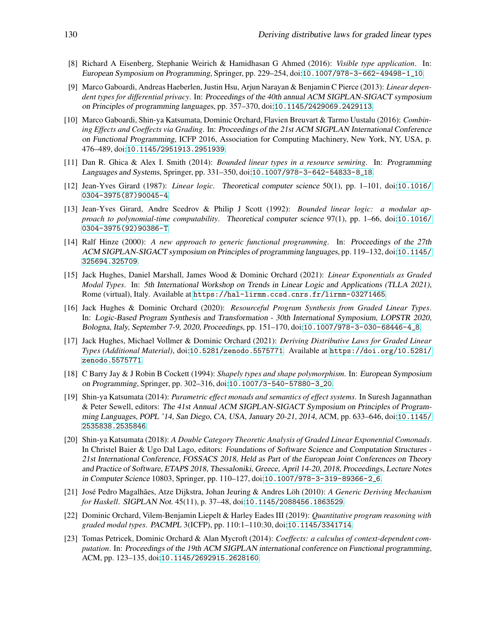- <span id="page-21-10"></span>[8] Richard A Eisenberg, Stephanie Weirich & Hamidhasan G Ahmed (2016): *Visible type application*. In: European Symposium on Programming, Springer, pp. 229–254, doi:[10.1007/978-3-662-49498-1\\_10](http://dx.doi.org/10.1007/978-3-662-49498-1_10).
- <span id="page-21-5"></span>[9] Marco Gaboardi, Andreas Haeberlen, Justin Hsu, Arjun Narayan & Benjamin C Pierce (2013): *Linear dependent types for differential privacy*. In: Proceedings of the 40th annual ACM SIGPLAN-SIGACT symposium on Principles of programming languages, pp. 357–370, doi:[10.1145/2429069.2429113](http://dx.doi.org/10.1145/2429069.2429113).
- <span id="page-21-9"></span>[10] Marco Gaboardi, Shin-ya Katsumata, Dominic Orchard, Flavien Breuvart & Tarmo Uustalu (2016): *Combining Effects and Coeffects via Grading*. In: Proceedings of the 21st ACM SIGPLAN International Conference on Functional Programming, ICFP 2016, Association for Computing Machinery, New York, NY, USA, p. 476–489, doi:[10.1145/2951913.2951939](http://dx.doi.org/10.1145/2951913.2951939).
- <span id="page-21-2"></span>[11] Dan R. Ghica & Alex I. Smith (2014): *Bounded linear types in a resource semiring*. In: Programming Languages and Systems, Springer, pp. 331–350, doi:[10.1007/978-3-642-54833-8\\_18](http://dx.doi.org/10.1007/978-3-642-54833-8_18).
- <span id="page-21-0"></span>[12] Jean-Yves Girard (1987): *Linear logic*. Theoretical computer science 50(1), pp. 1–101, doi:[10.1016/](http://dx.doi.org/10.1016/0304-3975(87)90045-4) [0304-3975\(87\)90045-4](http://dx.doi.org/10.1016/0304-3975(87)90045-4).
- <span id="page-21-1"></span>[13] Jean-Yves Girard, Andre Scedrov & Philip J Scott (1992): *Bounded linear logic: a modular approach to polynomial-time computability*. Theoretical computer science 97(1), pp. 1–66, doi:[10.1016/](http://dx.doi.org/10.1016/0304-3975(92)90386-T) [0304-3975\(92\)90386-T](http://dx.doi.org/10.1016/0304-3975(92)90386-T).
- <span id="page-21-4"></span>[14] Ralf Hinze (2000): *A new approach to generic functional programming*. In: Proceedings of the 27th ACM SIGPLAN-SIGACT symposium on Principles of programming languages, pp. 119–132, doi:[10.1145/](http://dx.doi.org/10.1145/325694.325709) [325694.325709](http://dx.doi.org/10.1145/325694.325709).
- <span id="page-21-7"></span>[15] Jack Hughes, Daniel Marshall, James Wood & Dominic Orchard (2021): *Linear Exponentials as Graded Modal Types*. In: 5th International Workshop on Trends in Linear Logic and Applications (TLLA 2021), Rome (virtual), Italy. Available at <https://hal-lirmm.ccsd.cnrs.fr/lirmm-03271465>.
- [16] Jack Hughes & Dominic Orchard (2020): *Resourceful Program Synthesis from Graded Linear Types*. In: Logic-Based Program Synthesis and Transformation - 30th International Symposium, LOPSTR 2020, Bologna, Italy, September 7-9, 2020, Proceedings, pp. 151–170, doi:[10.1007/978-3-030-68446-4\\_8](http://dx.doi.org/10.1007/978-3-030-68446-4_8).
- <span id="page-21-6"></span>[17] Jack Hughes, Michael Vollmer & Dominic Orchard (2021): *Deriving Distributive Laws for Graded Linear Types (Additional Material)*, doi:[10.5281/zenodo.5575771](http://dx.doi.org/10.5281/zenodo.5575771). Available at [https://doi.org/10.5281/](https://doi.org/10.5281/zenodo.5575771) [zenodo.5575771](https://doi.org/10.5281/zenodo.5575771).
- <span id="page-21-11"></span>[18] C Barry Jay & J Robin B Cockett (1994): *Shapely types and shape polymorphism*. In: European Symposium on Programming, Springer, pp. 302–316, doi:[10.1007/3-540-57880-3\\_20](http://dx.doi.org/10.1007/3-540-57880-3_20).
- [19] Shin-ya Katsumata (2014): *Parametric effect monads and semantics of effect systems*. In Suresh Jagannathan & Peter Sewell, editors: The 41st Annual ACM SIGPLAN-SIGACT Symposium on Principles of Programming Languages, POPL '14, San Diego, CA, USA, January 20-21, <sup>2014</sup>, ACM, pp. 633–646, doi:[10.1145/](http://dx.doi.org/10.1145/2535838.2535846) [2535838.2535846](http://dx.doi.org/10.1145/2535838.2535846).
- [20] Shin-ya Katsumata (2018): *A Double Category Theoretic Analysis of Graded Linear Exponential Comonads*. In Christel Baier & Ugo Dal Lago, editors: Foundations of Software Science and Computation Structures - 21st International Conference, FOSSACS 2018, Held as Part of the European Joint Conferences on Theory and Practice of Software, ETAPS 2018, Thessaloniki, Greece, April 14-20, 2018, Proceedings, Lecture Notes in Computer Science 10803, Springer, pp. 110–127, doi:[10.1007/978-3-319-89366-2\\_6](http://dx.doi.org/10.1007/978-3-319-89366-2_6).
- <span id="page-21-8"></span>[21] José Pedro Magalhães, Atze Dijkstra, Johan Jeuring & Andres Löh (2010): *A Generic Deriving Mechanism for Haskell*. SIGPLAN Not. 45(11), p. 37–48, doi:[10.1145/2088456.1863529](http://dx.doi.org/10.1145/2088456.1863529).
- [22] Dominic Orchard, Vilem-Benjamin Liepelt & Harley Eades III (2019): *Quantitative program reasoning with graded modal types*. PACMPL 3(ICFP), pp. 110:1–110:30, doi:[10.1145/3341714](http://dx.doi.org/10.1145/3341714).
- <span id="page-21-3"></span>[23] Tomas Petricek, Dominic Orchard & Alan Mycroft (2014): *Coeffects: a calculus of context-dependent computation*. In: Proceedings of the 19th ACM SIGPLAN international conference on Functional programming, ACM, pp. 123–135, doi:[10.1145/2692915.2628160](http://dx.doi.org/10.1145/2692915.2628160).